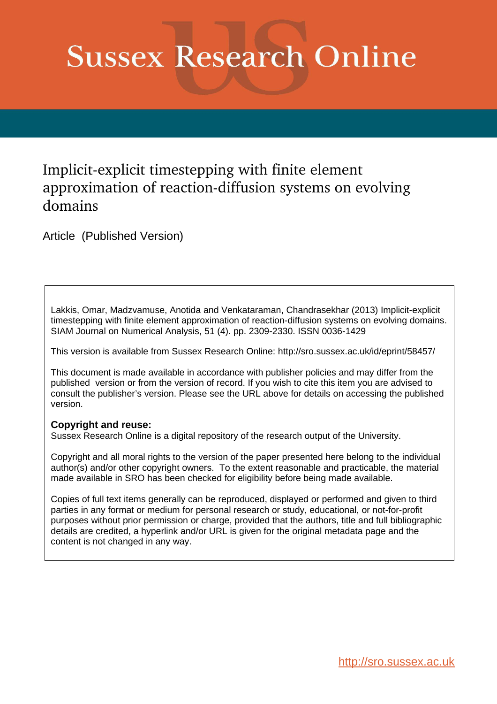# **Sussex Research Online**

## Implicit-explicit timestepping with finite element approximation of reaction-diffusion systems on evolving domains

Article (Published Version)

Lakkis, Omar, Madzvamuse, Anotida and Venkataraman, Chandrasekhar (2013) Implicit-explicit timestepping with finite element approximation of reaction-diffusion systems on evolving domains. SIAM Journal on Numerical Analysis, 51 (4). pp. 2309-2330. ISSN 0036-1429

This version is available from Sussex Research Online: http://sro.sussex.ac.uk/id/eprint/58457/

This document is made available in accordance with publisher policies and may differ from the published version or from the version of record. If you wish to cite this item you are advised to consult the publisher's version. Please see the URL above for details on accessing the published version.

### **Copyright and reuse:**

Sussex Research Online is a digital repository of the research output of the University.

Copyright and all moral rights to the version of the paper presented here belong to the individual author(s) and/or other copyright owners. To the extent reasonable and practicable, the material made available in SRO has been checked for eligibility before being made available.

Copies of full text items generally can be reproduced, displayed or performed and given to third parties in any format or medium for personal research or study, educational, or not-for-profit purposes without prior permission or charge, provided that the authors, title and full bibliographic details are credited, a hyperlink and/or URL is given for the original metadata page and the content is not changed in any way.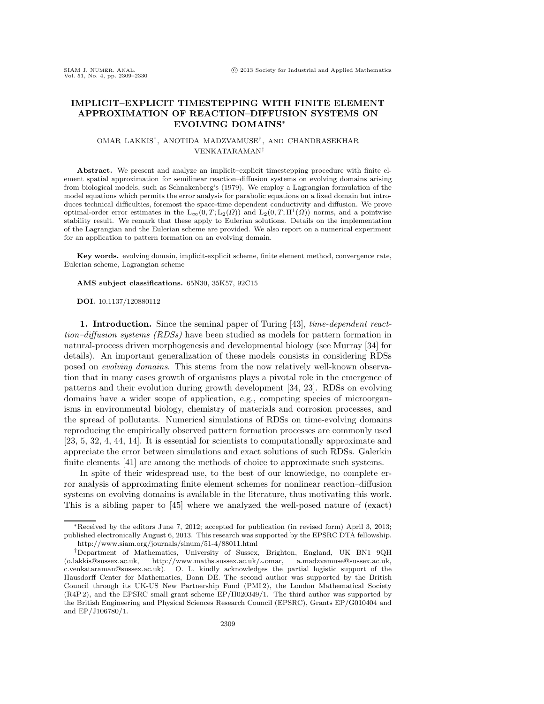#### **IMPLICIT–EXPLICIT TIMESTEPPING WITH FINITE ELEMENT APPROXIMATION OF REACTION–DIFFUSION SYSTEMS ON EVOLVING DOMAINS**∗

#### OMAR LAKKIS†, ANOTIDA MADZVAMUSE†, AND CHANDRASEKHAR VENKATARAMAN†

**Abstract.** We present and analyze an implicit–explicit timestepping procedure with finite element spatial approximation for semilinear reaction–diffusion systems on evolving domains arising from biological models, such as Schnakenberg's (1979). We employ a Lagrangian formulation of the model equations which permits the error analysis for parabolic equations on a fixed domain but introduces technical difficulties, foremost the space-time dependent conductivity and diffusion. We prove optimal-order error estimates in the  $L_{\infty}(0, T; L_2(\Omega))$  and  $L_2(0, T; H^1(\Omega))$  norms, and a pointwise stability result. We remark that these apply to Eulerian solutions. Details on the implementation of the Lagrangian and the Eulerian scheme are provided. We also report on a numerical experiment for an application to pattern formation on an evolving domain.

**Key words.** evolving domain, implicit-explicit scheme, finite element method, convergence rate, Eulerian scheme, Lagrangian scheme

**AMS subject classifications.** 65N30, 35K57, 92C15

#### **DOI.** 10.1137/120880112

**1. Introduction.** Since the seminal paper of Turing [43], *time-dependent reacttion–diffusion systems (RDSs)* have been studied as models for pattern formation in natural-process driven morphogenesis and developmental biology (see Murray [34] for details). An important generalization of these models consists in considering RDSs posed on *evolving domains*. This stems from the now relatively well-known observation that in many cases growth of organisms plays a pivotal role in the emergence of patterns and their evolution during growth development [34, 23]. RDSs on evolving domains have a wider scope of application, e.g., competing species of microorganisms in environmental biology, chemistry of materials and corrosion processes, and the spread of pollutants. Numerical simulations of RDSs on time-evolving domains reproducing the empirically observed pattern formation processes are commonly used [23, 5, 32, 4, 44, 14]. It is essential for scientists to computationally approximate and appreciate the error between simulations and exact solutions of such RDSs. Galerkin finite elements [41] are among the methods of choice to approximate such systems.

In spite of their widespread use, to the best of our knowledge, no complete error analysis of approximating finite element schemes for nonlinear reaction–diffusion systems on evolving domains is available in the literature, thus motivating this work. This is a sibling paper to [45] where we analyzed the well-posed nature of (exact)

<sup>∗</sup>Received by the editors June 7, 2012; accepted for publication (in revised form) April 3, 2013; published electronically August 6, 2013. This research was supported by the EPSRC DTA fellowship. http://www.siam.org/journals/sinum/51-4/88011.html

<sup>†</sup>Department of Mathematics, University of Sussex, Brighton, England, UK BN1 9QH (o.lakkis@sussex.ac.uk, http://www.maths.sussex.ac.uk/∼omar, a.madzvamuse@sussex.ac.uk, c.venkataraman@sussex.ac.uk). O. L. kindly acknowledges the partial logistic support of the Hausdorff Center for Mathematics, Bonn DE. The second author was supported by the British Council through its UK-US New Partnership Fund (PMI 2), the London Mathematical Society (R4P 2), and the EPSRC small grant scheme EP/H020349/1. The third author was supported by the British Engineering and Physical Sciences Research Council (EPSRC), Grants EP/G010404 and and EP/J106780/1.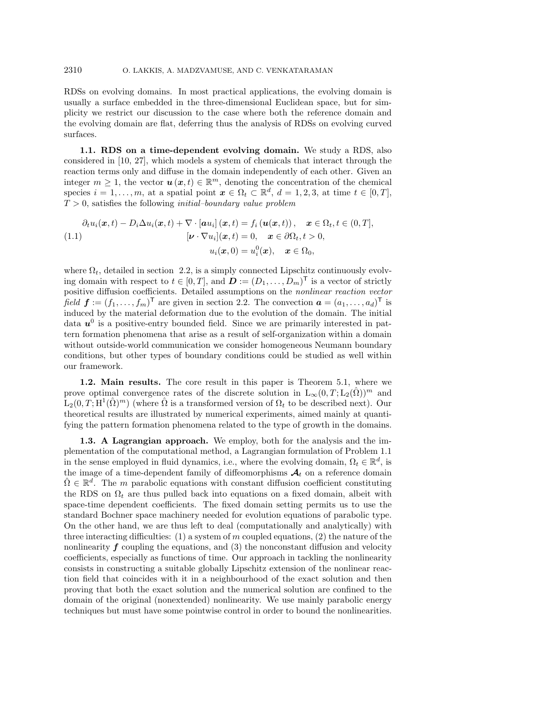RDSs on evolving domains. In most practical applications, the evolving domain is usually a surface embedded in the three-dimensional Euclidean space, but for simplicity we restrict our discussion to the case where both the reference domain and the evolving domain are flat, deferring thus the analysis of RDSs on evolving curved surfaces.

**1.1. RDS on a time-dependent evolving domain.** We study a RDS, also considered in [10, 27], which models a system of chemicals that interact through the reaction terms only and diffuse in the domain independently of each other. Given an integer  $m \geq 1$ , the vector  $u(x, t) \in \mathbb{R}^m$ , denoting the concentration of the chemical species  $i = 1, \ldots, m$ , at a spatial point  $x \in \Omega_t \subset \mathbb{R}^d$ ,  $d = 1, 2, 3$ , at time  $t \in [0, T]$ , T > 0, satisfies the following *initial–boundary value problem*

$$
\partial_t u_i(\boldsymbol{x},t) - D_i \Delta u_i(\boldsymbol{x},t) + \nabla \cdot [\boldsymbol{a} u_i](\boldsymbol{x},t) = f_i(\boldsymbol{u}(\boldsymbol{x},t)), \quad \boldsymbol{x} \in \Omega_t, t \in (0,T],
$$
\n
$$
[\boldsymbol{\nu} \cdot \nabla u_i](\boldsymbol{x},t) = 0, \quad \boldsymbol{x} \in \partial \Omega_t, t > 0,
$$
\n
$$
u_i(\boldsymbol{x},0) = u_i^0(\boldsymbol{x}), \quad \boldsymbol{x} \in \Omega_0,
$$

where  $\Omega_t$ , detailed in section 2.2, is a simply connected Lipschitz continuously evolving domain with respect to  $t \in [0, T]$ , and  $\mathbf{D} := (D_1, \ldots, D_m)^\mathsf{T}$  is a vector of strictly positive diffusion coefficients. Detailed assumptions on the *nonlinear reaction vector field*  $f := (f_1, \ldots, f_m)^\mathsf{T}$  are given in section 2.2. The convection  $\mathbf{a} = (a_1, \ldots, a_d)^\mathsf{T}$  is induced by the material deformation due to the evolution of the domain. The initial data  $u^0$  is a positive-entry bounded field. Since we are primarily interested in pattern formation phenomena that arise as a result of self-organization within a domain without outside-world communication we consider homogeneous Neumann boundary conditions, but other types of boundary conditions could be studied as well within our framework.

**1.2. Main results.** The core result in this paper is Theorem 5.1, where we prove optimal convergence rates of the discrete solution in  $L_{\infty}(0,T; L_2(\Omega))^m$  and  $L_2(0,T;H^1(\hat{\Omega})^m)$  (where  $\hat{\Omega}$  is a transformed version of  $\Omega_t$  to be described next). Our theoretical results are illustrated by numerical experiments, aimed mainly at quantifying the pattern formation phenomena related to the type of growth in the domains.

**1.3. A Lagrangian approach.** We employ, both for the analysis and the implementation of the computational method, a Lagrangian formulation of Problem 1.1 in the sense employed in fluid dynamics, i.e., where the evolving domain,  $\Omega_t \in \mathbb{R}^d$ , is the image of a time-dependent family of diffeomorphisms  $\mathcal{A}_t$  on a reference domain  $\hat{\Omega} \in \mathbb{R}^d$ . The m parabolic equations with constant diffusion coefficient constituting the RDS on  $\Omega_t$  are thus pulled back into equations on a fixed domain, albeit with space-time dependent coefficients. The fixed domain setting permits us to use the standard Bochner space machinery needed for evolution equations of parabolic type. On the other hand, we are thus left to deal (computationally and analytically) with three interacting difficulties:  $(1)$  a system of m coupled equations,  $(2)$  the nature of the nonlinearity  $f$  coupling the equations, and  $(3)$  the nonconstant diffusion and velocity coefficients, especially as functions of time. Our approach in tackling the nonlinearity consists in constructing a suitable globally Lipschitz extension of the nonlinear reaction field that coincides with it in a neighbourhood of the exact solution and then proving that both the exact solution and the numerical solution are confined to the domain of the original (nonextended) nonlinearity. We use mainly parabolic energy techniques but must have some pointwise control in order to bound the nonlinearities.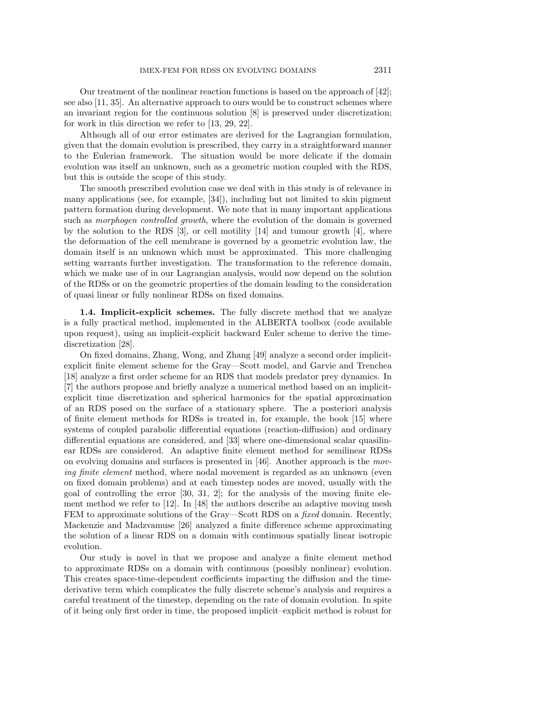Our treatment of the nonlinear reaction functions is based on the approach of [42]; see also [11, 35]. An alternative approach to ours would be to construct schemes where an invariant region for the continuous solution [8] is preserved under discretization; for work in this direction we refer to [13, 29, 22].

Although all of our error estimates are derived for the Lagrangian formulation, given that the domain evolution is prescribed, they carry in a straightforward manner to the Eulerian framework. The situation would be more delicate if the domain evolution was itself an unknown, such as a geometric motion coupled with the RDS, but this is outside the scope of this study.

The smooth prescribed evolution case we deal with in this study is of relevance in many applications (see, for example, [34]), including but not limited to skin pigment pattern formation during development. We note that in many important applications such as *morphogen controlled growth*, where the evolution of the domain is governed by the solution to the RDS  $[3]$ , or cell motility  $[14]$  and tumour growth  $[4]$ , where the deformation of the cell membrane is governed by a geometric evolution law, the domain itself is an unknown which must be approximated. This more challenging setting warrants further investigation. The transformation to the reference domain, which we make use of in our Lagrangian analysis, would now depend on the solution of the RDSs or on the geometric properties of the domain leading to the consideration of quasi linear or fully nonlinear RDSs on fixed domains.

**1.4. Implicit-explicit schemes.** The fully discrete method that we analyze is a fully practical method, implemented in the ALBERTA toolbox (code available upon request), using an implicit-explicit backward Euler scheme to derive the timediscretization [28].

On fixed domains, Zhang, Wong, and Zhang [49] analyze a second order implicitexplicit finite element scheme for the Gray—Scott model, and Garvie and Trenchea [18] analyze a first order scheme for an RDS that models predator prey dynamics. In [7] the authors propose and briefly analyze a numerical method based on an implicitexplicit time discretization and spherical harmonics for the spatial approximation of an RDS posed on the surface of a stationary sphere. The a posteriori analysis of finite element methods for RDSs is treated in, for example, the book [15] where systems of coupled parabolic differential equations (reaction-diffusion) and ordinary differential equations are considered, and [33] where one-dimensional scalar quasilinear RDSs are considered. An adaptive finite element method for semilinear RDSs on evolving domains and surfaces is presented in [46]. Another approach is the *moving finite element* method, where nodal movement is regarded as an unknown (even on fixed domain problems) and at each timestep nodes are moved, usually with the goal of controlling the error [30, 31, 2]; for the analysis of the moving finite element method we refer to [12]. In [48] the authors describe an adaptive moving mesh FEM to approximate solutions of the Gray—Scott RDS on a *fixed* domain. Recently, Mackenzie and Madzvamuse [26] analyzed a finite difference scheme approximating the solution of a linear RDS on a domain with continuous spatially linear isotropic evolution.

Our study is novel in that we propose and analyze a finite element method to approximate RDSs on a domain with continuous (possibly nonlinear) evolution. This creates space-time-dependent coefficients impacting the diffusion and the timederivative term which complicates the fully discrete scheme's analysis and requires a careful treatment of the timestep, depending on the rate of domain evolution. In spite of it being only first order in time, the proposed implicit–explicit method is robust for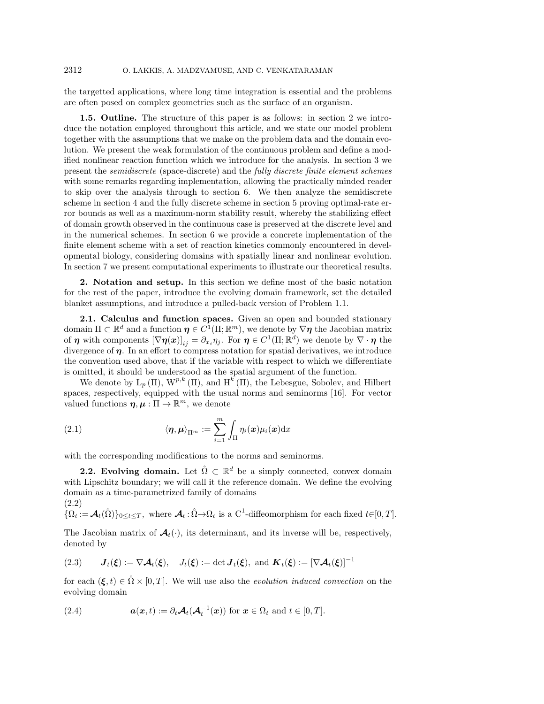the targetted applications, where long time integration is essential and the problems are often posed on complex geometries such as the surface of an organism.

**1.5. Outline.** The structure of this paper is as follows: in section 2 we introduce the notation employed throughout this article, and we state our model problem together with the assumptions that we make on the problem data and the domain evolution. We present the weak formulation of the continuous problem and define a modified nonlinear reaction function which we introduce for the analysis. In section 3 we present the *semidiscrete* (space-discrete) and the *fully discrete finite element schemes* with some remarks regarding implementation, allowing the practically minded reader to skip over the analysis through to section 6. We then analyze the semidiscrete scheme in section 4 and the fully discrete scheme in section 5 proving optimal-rate error bounds as well as a maximum-norm stability result, whereby the stabilizing effect of domain growth observed in the continuous case is preserved at the discrete level and in the numerical schemes. In section 6 we provide a concrete implementation of the finite element scheme with a set of reaction kinetics commonly encountered in developmental biology, considering domains with spatially linear and nonlinear evolution. In section 7 we present computational experiments to illustrate our theoretical results.

**2. Notation and setup.** In this section we define most of the basic notation for the rest of the paper, introduce the evolving domain framework, set the detailed blanket assumptions, and introduce a pulled-back version of Problem 1.1.

**2.1. Calculus and function spaces.** Given an open and bounded stationary domain  $\Pi \subset \mathbb{R}^d$  and a function  $\eta \in C^1(\Pi; \mathbb{R}^m)$ , we denote by  $\nabla \eta$  the Jacobian matrix of *η* with components  $[\nabla \eta(x)]_{ij} = \partial_{x_i} \eta_j$ . For  $\eta \in C^1(\Pi; \mathbb{R}^d)$  we denote by  $\nabla \cdot \eta$  the divergence of  $\eta$ . In an effort to compress notation for spatial derivatives, we introduce the convention used above, that if the variable with respect to which we differentiate is omitted, it should be understood as the spatial argument of the function.

We denote by  $L_p(\Pi)$ ,  $W^{p,k}(\Pi)$ , and  $H^k(\Pi)$ , the Lebesgue, Sobolev, and Hilbert spaces, respectively, equipped with the usual norms and seminorms [16]. For vector valued functions  $\eta, \mu : \Pi \to \mathbb{R}^m$ , we denote

(2.1) 
$$
\langle \boldsymbol{\eta}, \boldsymbol{\mu} \rangle_{\Pi^m} := \sum_{i=1}^m \int_{\Pi} \eta_i(\boldsymbol{x}) \mu_i(\boldsymbol{x}) \mathrm{d} \boldsymbol{x}
$$

with the corresponding modifications to the norms and seminorms.

**2.2. Evolving domain.** Let  $\hat{\Omega} \subset \mathbb{R}^d$  be a simply connected, convex domain with Lipschitz boundary; we will call it the reference domain. We define the evolving domain as a time-parametrized family of domains (2.2)

 ${\hat{\Omega}}_t := {\cal A}_t({\hat\Omega})\}_0 \leq t \leq T$ , where  ${\cal A}_t : {\hat\Omega} \to {\Omega}_t$  is a C<sup>1</sup>-diffeomorphism for each fixed  $t \in [0, T]$ .

The Jacobian matrix of  $\mathcal{A}_{t}(\cdot)$ , its determinant, and its inverse will be, respectively, denoted by

(2.3) 
$$
\mathbf{J}_t(\boldsymbol{\xi}) := \nabla \mathbf{\mathcal{A}}_t(\boldsymbol{\xi}), \quad J_t(\boldsymbol{\xi}) := \det \mathbf{J}_t(\boldsymbol{\xi}), \text{ and } \mathbf{K}_t(\boldsymbol{\xi}) := [\nabla \mathbf{\mathcal{A}}_t(\boldsymbol{\xi})]^{-1}
$$

for each  $(\xi, t) \in \hat{\Omega} \times [0, T]$ . We will use also the *evolution induced convection* on the evolving domain

(2.4) 
$$
\mathbf{a}(\mathbf{x},t) := \partial_t \mathbf{A}_t (\mathbf{A}_t^{-1}(\mathbf{x})) \text{ for } \mathbf{x} \in \Omega_t \text{ and } t \in [0,T].
$$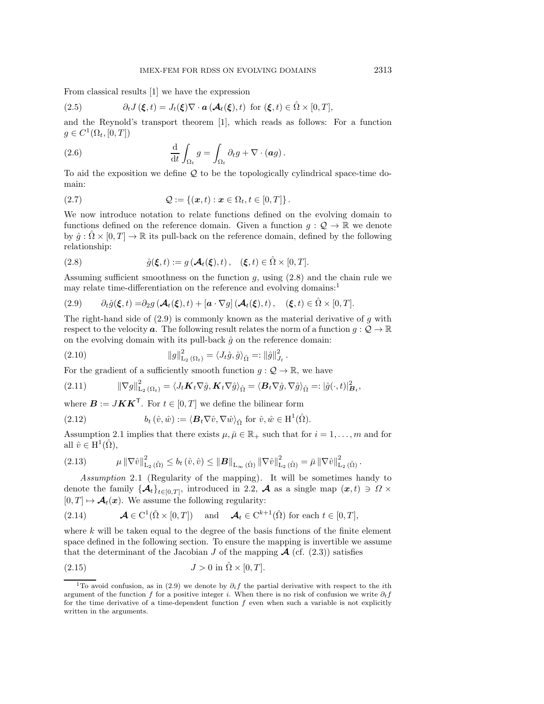From classical results [1] we have the expression

(2.5) 
$$
\partial_t J(\boldsymbol{\xi},t) = J_t(\boldsymbol{\xi}) \nabla \cdot \boldsymbol{a} \left( \boldsymbol{\mathcal{A}}_t(\boldsymbol{\xi}),t \right) \text{ for } (\boldsymbol{\xi},t) \in \hat{\Omega} \times [0,T],
$$

and the Reynold's transport theorem [1], which reads as follows: For a function  $g \in C^1(\Omega_t, [0,T])$ 

(2.6) 
$$
\frac{\mathrm{d}}{\mathrm{d}t} \int_{\Omega_t} g = \int_{\Omega_t} \partial_t g + \nabla \cdot (ag).
$$

To aid the exposition we define Q to be the topologically cylindrical space-time domain:

(2.7) 
$$
Q := \{(\bm{x}, t) : \bm{x} \in \Omega_t, t \in [0, T] \}.
$$

We now introduce notation to relate functions defined on the evolving domain to functions defined on the reference domain. Given a function  $g: \mathcal{Q} \to \mathbb{R}$  we denote by  $\hat{g}: \hat{\Omega} \times [0,T] \to \mathbb{R}$  its pull-back on the reference domain, defined by the following relationship:

(2.8) 
$$
\hat{g}(\xi, t) := g(\mathcal{A}_t(\xi), t), \quad (\xi, t) \in \hat{\Omega} \times [0, T].
$$

Assuming sufficient smoothness on the function  $g$ , using  $(2.8)$  and the chain rule we may relate time-differentiation on the reference and evolving domains:<sup>1</sup>

(2.9) 
$$
\partial_t \hat{g}(\xi, t) = \partial_2 g \left( \mathcal{A}_t(\xi), t \right) + \left[ \mathbf{a} \cdot \nabla g \right] \left( \mathcal{A}_t(\xi), t \right), \quad (\xi, t) \in \hat{\Omega} \times [0, T].
$$

The right-hand side of  $(2.9)$  is commonly known as the material derivative of g with respect to the velocity **a**. The following result relates the norm of a function  $g: \mathcal{Q} \to \mathbb{R}$ on the evolving domain with its pull-back  $\hat{q}$  on the reference domain:

(2.10) 
$$
||g||_{L_2(\Omega_t)}^2 = \langle J_t \hat{g}, \hat{g} \rangle_{\hat{\Omega}} =: ||\hat{g}||_{J_t}^2.
$$

For the gradient of a sufficiently smooth function  $g: \mathcal{Q} \to \mathbb{R}$ , we have

(2.11) 
$$
\|\nabla g\|_{\mathcal{L}_2(\Omega_t)}^2 = \langle J_t \mathbf{K}_t \nabla \hat{g}, \mathbf{K}_t \nabla \hat{g} \rangle_{\hat{\Omega}} = \langle \mathbf{B}_t \nabla \hat{g}, \nabla \hat{g} \rangle_{\hat{\Omega}} =: |\hat{g}(\cdot, t)|_{\mathbf{B}_t}^2,
$$

where  $\mathbf{B} := J\mathbf{K}\mathbf{K}^{\mathsf{T}}$ . For  $t \in [0, T]$  we define the bilinear form

(2.12) 
$$
b_t(\hat{v}, \hat{w}) := \langle \mathbf{B}_t \nabla \hat{v}, \nabla \hat{w} \rangle_{\hat{\Omega}} \text{ for } \hat{v}, \hat{w} \in \mathrm{H}^1(\hat{\Omega}).
$$

Assumption 2.1 implies that there exists  $\mu, \bar{\mu} \in \mathbb{R}_+$  such that for  $i = 1, \ldots, m$  and for all  $\hat{v} \in H^1(\hat{\Omega}),$ 

$$
(2.13) \qquad \qquad \mu \left\| \nabla \hat{v} \right\|_{\mathrm{L}_{2}(\hat{\Omega})}^2 \leq b_t \left( \hat{v}, \hat{v} \right) \leq \left\| \mathbf{B} \right\|_{\mathrm{L}_{\infty}(\hat{\Omega})} \left\| \nabla \hat{v} \right\|_{\mathrm{L}_{2}(\hat{\Omega})}^2 = \bar{\mu} \left\| \nabla \hat{v} \right\|_{\mathrm{L}_{2}(\hat{\Omega})}^2.
$$

*Assumption* 2.1 (Regularity of the mapping). It will be sometimes handy to denote the family  $\{\mathcal{A}_t\}_{t\in[0,T]}$ , introduced in 2.2,  $\mathcal{A}$  as a single map  $(x,t) \ni \Omega \times$  $[0, T] \mapsto \mathcal{A}_t(x)$ . We assume the following regularity:

(2.14) 
$$
\mathcal{A} \in C^1(\hat{\Omega} \times [0,T]) \quad \text{and} \quad \mathcal{A}_t \in C^{k+1}(\hat{\Omega}) \text{ for each } t \in [0,T],
$$

where  $k$  will be taken equal to the degree of the basis functions of the finite element space defined in the following section. To ensure the mapping is invertible we assume that the determinant of the Jacobian  $J$  of the mapping  $\mathcal{A}$  (cf. (2.3)) satisfies

$$
(2.15) \t\t\t J > 0 \text{ in } \hat{\Omega} \times [0, T].
$$

<sup>&</sup>lt;sup>1</sup>To avoid confusion, as in (2.9) we denote by  $\partial_i f$  the partial derivative with respect to the *i*th argument of the function f for a positive integer i. When there is no risk of confusion we write  $\partial_t f$ for the time derivative of a time-dependent function  $f$  even when such a variable is not explicitly written in the arguments.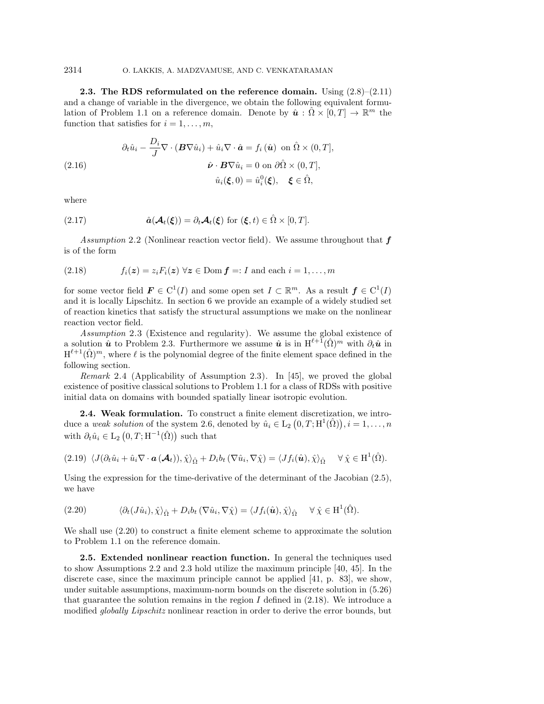**2.3. The RDS reformulated on the reference domain.** Using (2.8)–(2.11) and a change of variable in the divergence, we obtain the following equivalent formulation of Problem 1.1 on a reference domain. Denote by  $\hat{u}: \hat{\Omega} \times [0,T] \to \mathbb{R}^m$  the function that satisfies for  $i = 1, \ldots, m$ ,

(2.16)  
\n
$$
\partial_t \hat{u}_i - \frac{D_i}{J} \nabla \cdot (\boldsymbol{B} \nabla \hat{u}_i) + \hat{u}_i \nabla \cdot \hat{\boldsymbol{a}} = f_i(\hat{\boldsymbol{u}}) \text{ on } \hat{\Omega} \times (0, T],
$$
\n
$$
\hat{\boldsymbol{\nu}} \cdot \boldsymbol{B} \nabla \hat{u}_i = 0 \text{ on } \partial \hat{\Omega} \times (0, T],
$$
\n
$$
\hat{u}_i(\boldsymbol{\xi}, 0) = \hat{u}_i^0(\boldsymbol{\xi}), \quad \boldsymbol{\xi} \in \hat{\Omega},
$$

where

(2.17) 
$$
\hat{a}(\mathcal{A}_t(\xi)) = \partial_t \mathcal{A}_t(\xi) \text{ for } (\xi, t) \in \hat{\Omega} \times [0, T].
$$

*Assumption* 2.2 (Nonlinear reaction vector field). We assume throughout that *f* is of the form

(2.18) 
$$
f_i(z) = z_i F_i(z) \ \forall z \in \text{Dom } f =: I \text{ and each } i = 1, ..., m
$$

for some vector field  $\mathbf{F} \in C^1(I)$  and some open set  $I \subset \mathbb{R}^m$ . As a result  $\mathbf{f} \in C^1(I)$ and it is locally Lipschitz. In section 6 we provide an example of a widely studied set of reaction kinetics that satisfy the structural assumptions we make on the nonlinear reaction vector field.

*Assumption* 2.3 (Existence and regularity). We assume the global existence of a solution  $\hat{u}$  to Problem 2.3. Furthermore we assume  $\hat{u}$  is in  $H^{\ell+1}(\hat{\Omega})^m$  with  $\partial_t \hat{u}$  in  $H^{\ell+1}(\hat{\Omega})^m$ , where  $\ell$  is the polynomial degree of the finite element space defined in the following section.

*Remark* 2.4 (Applicability of Assumption 2.3). In [45], we proved the global existence of positive classical solutions to Problem 1.1 for a class of RDSs with positive initial data on domains with bounded spatially linear isotropic evolution.

**2.4. Weak formulation.** To construct a finite element discretization, we introduce a *weak solution* of the system 2.6, denoted by  $\hat{u}_i \in L_2(0,T;H^1(\hat{\Omega}))$ ,  $i = 1,\ldots,n$ with  $\partial_t \hat{u}_i \in L_2(0,T;H^{-1}(\hat{\Omega}))$  such that

$$
(2.19)\ \ \langle J(\partial_t\hat{u}_i+\hat{u}_i\nabla\cdot\boldsymbol{a}\left(\boldsymbol{\mathcal{A}}_t\right)),\hat{\chi}\rangle_{\hat{\Omega}}+D_ib_t\left(\nabla\hat{u}_i,\nabla\hat{\chi}\right)=\langle Jf_i(\hat{\boldsymbol{u}}),\hat{\chi}\rangle_{\hat{\Omega}}\ \ \ \forall\,\hat{\chi}\in\mathrm{H}^1(\hat{\Omega}).
$$

Using the expression for the time-derivative of the determinant of the Jacobian (2.5), we have

(2.20) 
$$
\langle \partial_t (J\hat{u}_i), \hat{\chi} \rangle_{\hat{\Omega}} + D_i b_t (\nabla \hat{u}_i, \nabla \hat{\chi}) = \langle Jf_i(\hat{\boldsymbol{u}}), \hat{\chi} \rangle_{\hat{\Omega}} \quad \forall \ \hat{\chi} \in \mathrm{H}^1(\hat{\Omega}).
$$

We shall use (2.20) to construct a finite element scheme to approximate the solution to Problem 1.1 on the reference domain.

**2.5. Extended nonlinear reaction function.** In general the techniques used to show Assumptions 2.2 and 2.3 hold utilize the maximum principle [40, 45]. In the discrete case, since the maximum principle cannot be applied [41, p. 83], we show, under suitable assumptions, maximum-norm bounds on the discrete solution in (5.26) that guarantee the solution remains in the region  $I$  defined in (2.18). We introduce a modified *globally Lipschitz* nonlinear reaction in order to derive the error bounds, but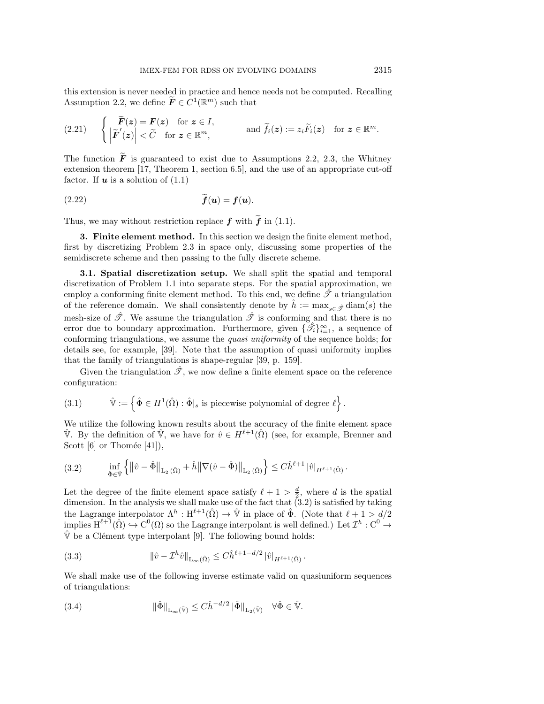this extension is never needed in practice and hence needs not be computed. Recalling Assumption 2.2, we define  $\widetilde{F} \in C^1(\mathbb{R}^m)$  such that

$$
(2.21) \qquad \begin{cases} \widetilde{F}(z) = F(z) \quad \text{for } z \in I, \\ \left| \widetilde{F}'(z) \right| < \widetilde{C} \quad \text{for } z \in \mathbb{R}^m, \end{cases} \qquad \text{and } \widetilde{f}_i(z) := z_i \widetilde{F}_i(z) \quad \text{for } z \in \mathbb{R}^m.
$$

The function  $\tilde{F}$  is guaranteed to exist due to Assumptions 2.2, 2.3, the Whitney extension theorem [17, Theorem 1, section 6.5], and the use of an appropriate cut-off factor. If  $u$  is a solution of  $(1.1)$ 

$$
\widetilde{f}(\mathbf{u}) = f(\mathbf{u}).
$$

Thus, we may without restriction replace  $f$  with  $\tilde{f}$  in (1.1).

**3. Finite element method.** In this section we design the finite element method, first by discretizing Problem 2.3 in space only, discussing some properties of the semidiscrete scheme and then passing to the fully discrete scheme.

**3.1. Spatial discretization setup.** We shall split the spatial and temporal discretization of Problem 1.1 into separate steps. For the spatial approximation, we employ a conforming finite element method. To this end, we define  $\mathscr{T}$  a triangulation of the reference domain. We shall consistently denote by  $\hat{h} := \max_{s \in \hat{\mathcal{F}}} \text{diam}(s)$  the mesh-size of  $\hat{\mathcal{F}}$ . We assume the triangulation  $\hat{\mathcal{F}}$  is conforming and that there is no error due to boundary approximation. Furthermore, given  $\{\hat{\mathscr{I}}_i\}_{i=1}^{\infty}$ , a sequence of conforming triangulations, we assume the *quasi uniformity* of the sequence holds; for details see, for example, [39]. Note that the assumption of quasi uniformity implies that the family of triangulations is shape-regular [39, p. 159].

Given the triangulation  $\hat{\mathcal{F}}$ , we now define a finite element space on the reference configuration:

(3.1) 
$$
\hat{\mathbb{V}} := \left\{ \hat{\Phi} \in H^1(\hat{\Omega}) : \hat{\Phi}|_{s} \text{ is piecewise polynomial of degree } \ell \right\}.
$$

We utilize the following known results about the accuracy of the finite element space  $\hat{\mathbb{V}}$ . By the definition of  $\hat{\mathbb{V}}$ , we have for  $\hat{v} \in H^{\ell+1}(\hat{\Omega})$  (see, for example, Brenner and Scott  $[6]$  or Thomée  $[41]$ ),

$$
(3.2) \quad \inf_{\hat{\Phi}\in\hat{\mathbb{V}}} \left\{ \left\| \hat{v} - \hat{\Phi} \right\|_{\mathcal{L}_2(\hat{\Omega})} + \hat{h} \left\| \nabla(\hat{v} - \hat{\Phi}) \right\|_{\mathcal{L}_2(\hat{\Omega})} \right\} \leq C \hat{h}^{\ell+1} |\hat{v}|_{H^{\ell+1}(\hat{\Omega})}.
$$

Let the degree of the finite element space satisfy  $\ell + 1 > \frac{d}{2}$ , where d is the spatial dimension. In the analysis we shall make use of the fact that (3.2) is satisfied by taking the Lagrange interpolator  $\Lambda^h : H^{\ell+1}(\hat{\Omega}) \to \hat{\mathbb{V}}$  in place of  $\hat{\Phi}$ . (Note that  $\ell + 1 > d/2$ implies  $H^{\ell+1}(\hat{\Omega}) \hookrightarrow C^0(\Omega)$  so the Lagrange interpolant is well defined.) Let  $\mathcal{I}^h : C^0 \to$  $\hat{V}$  be a Clément type interpolant [9]. The following bound holds:

(3.3) 
$$
\|\hat{v} - \mathcal{I}^h \hat{v}\|_{L_{\infty}(\hat{\Omega})} \leq C \hat{h}^{\ell+1-d/2} |\hat{v}|_{H^{\ell+1}(\hat{\Omega})}.
$$

We shall make use of the following inverse estimate valid on quasiuniform sequences of triangulations:

(3.4) 
$$
\|\hat{\Phi}\|_{L_{\infty}(\hat{\mathbb{V}})} \leq C \hat{h}^{-d/2} \|\hat{\Phi}\|_{L_{2}(\hat{\mathbb{V}})} \quad \forall \hat{\Phi} \in \hat{\mathbb{V}}.
$$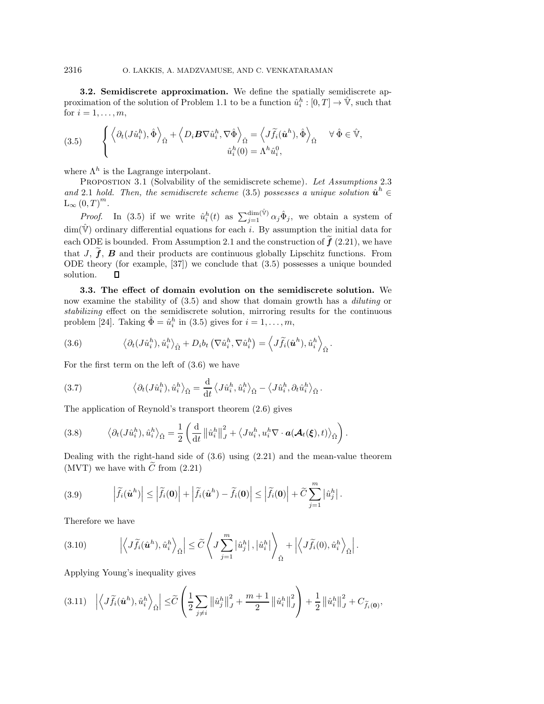**3.2. Semidiscrete approximation.** We define the spatially semidiscrete approximation of the solution of Problem 1.1 to be a function  $\hat{u}_i^h:[0,T] \to \hat{V}$ , such that for  $i = 1, \ldots, m$ ,

(3.5) 
$$
\left\{ \left\langle \partial_t (J \hat{u}_i^h), \hat{\Phi} \right\rangle_{\hat{\Omega}} + \left\langle D_i \mathbf{B} \nabla \hat{u}_i^h, \nabla \hat{\Phi} \right\rangle_{\hat{\Omega}} = \left\langle J \widetilde{f}_i(\hat{\mathbf{u}}^h), \hat{\Phi} \right\rangle_{\hat{\Omega}} \quad \forall \hat{\Phi} \in \hat{\mathbb{V}},
$$

$$
\hat{u}_i^h(0) = \Lambda^h \hat{u}_i^0,
$$

where  $\Lambda^h$  is the Lagrange interpolant.

Propostion 3.1 (Solvability of the semidiscrete scheme). *Let Assumptions* 2.3 *and* 2.1 *hold.* Then, the semidiscrete scheme (3.5) possesses a unique solution  $\hat{u}^h$  ∈  $L_{\infty} (0, T)^m$ .

*Proof.* In (3.5) if we write  $\hat{u}_i^h(t)$  as  $\sum_{j=1}^{\dim(\hat{\mathbb{V}})} \alpha_j \hat{\Phi}_j$ , we obtain a system of  $\dim(\hat{\mathbb{V}})$  ordinary differential equations for each i. By assumption the initial data for each ODE is bounded. From Assumption 2.1 and the construction of  $\hat{f}$  (2.21), we have that  $J, \tilde{f}, B$  and their products are continuous globally Lipschitz functions. From ODE theory (for example, [37]) we conclude that (3.5) possesses a unique bounded solution. П

**3.3. The effect of domain evolution on the semidiscrete solution.** We now examine the stability of (3.5) and show that domain growth has a *diluting* or *stabilizing* effect on the semidiscrete solution, mirroring results for the continuous problem [24]. Taking  $\hat{\Phi} = \hat{u}_i^h$  in (3.5) gives for  $i = 1, \ldots, m$ ,

(3.6) 
$$
\left\langle \partial_t (J \hat{u}_i^h), \hat{u}_i^h \right\rangle_{\hat{\Omega}} + D_i b_t \left( \nabla \hat{u}_i^h, \nabla \hat{u}_i^h \right) = \left\langle J \tilde{f}_i(\hat{\boldsymbol{u}}^h), \hat{u}_i^h \right\rangle_{\hat{\Omega}}.
$$

For the first term on the left of (3.6) we have

(3.7) 
$$
\langle \partial_t (J \hat{u}_i^h), \hat{u}_i^h \rangle_{\hat{\Omega}} = \frac{\mathrm{d}}{\mathrm{d}t} \langle J \hat{u}_i^h, \hat{u}_i^h \rangle_{\hat{\Omega}} - \langle J \hat{u}_i^h, \partial_t \hat{u}_i^h \rangle_{\hat{\Omega}}.
$$

The application of Reynold's transport theorem (2.6) gives

(3.8) 
$$
\langle \partial_t (J \hat{u}_i^h), \hat{u}_i^h \rangle_{\hat{\Omega}} = \frac{1}{2} \left( \frac{\mathrm{d}}{\mathrm{d}t} \left\| \hat{u}_i^h \right\|_J^2 + \langle J u_i^h, u_i^h \nabla \cdot \boldsymbol{a}(\boldsymbol{\mathcal{A}}_t(\boldsymbol{\xi}), t) \rangle_{\hat{\Omega}} \right).
$$

Dealing with the right-hand side of  $(3.6)$  using  $(2.21)$  and the mean-value theorem (MVT) we have with  $\tilde{C}$  from (2.21)

(3.9) 
$$
\left|\widetilde{f}_i(\hat{\boldsymbol{u}}^h)\right| \leq \left|\widetilde{f}_i(\boldsymbol{0})\right| + \left|\widetilde{f}_i(\hat{\boldsymbol{u}}^h) - \widetilde{f}_i(\boldsymbol{0})\right| \leq \left|\widetilde{f}_i(\boldsymbol{0})\right| + \widetilde{C} \sum_{j=1}^m \left|\hat{u}_j^h\right|.
$$

Therefore we have

(3.10) 
$$
\left| \left\langle J\widetilde{f}_i(\hat{\boldsymbol{u}}^h), \hat{u}_i^h \right\rangle_{\hat{\Omega}} \right| \leq \widetilde{C} \left\langle J \sum_{j=1}^m \left| \hat{u}_j^h \right|, \left| \hat{u}_i^h \right| \right\rangle_{\hat{\Omega}} + \left| \left\langle J\widetilde{f}_i(0), \hat{u}_i^h \right\rangle_{\hat{\Omega}} \right|.
$$

Applying Young's inequality gives

$$
(3.11) \quad \left| \left\langle J \widetilde{f}_i(\hat{\bm{u}}^h), \hat{u}_i^h \right\rangle_{\hat{\Omega}} \right| \leq \widetilde{C} \left( \frac{1}{2} \sum_{j \neq i} \left\| \hat{u}_j^h \right\|_J^2 + \frac{m+1}{2} \left\| \hat{u}_i^h \right\|_J^2 \right) + \frac{1}{2} \left\| \hat{u}_i^h \right\|_J^2 + C_{\widetilde{f}_i(\bm{0})},
$$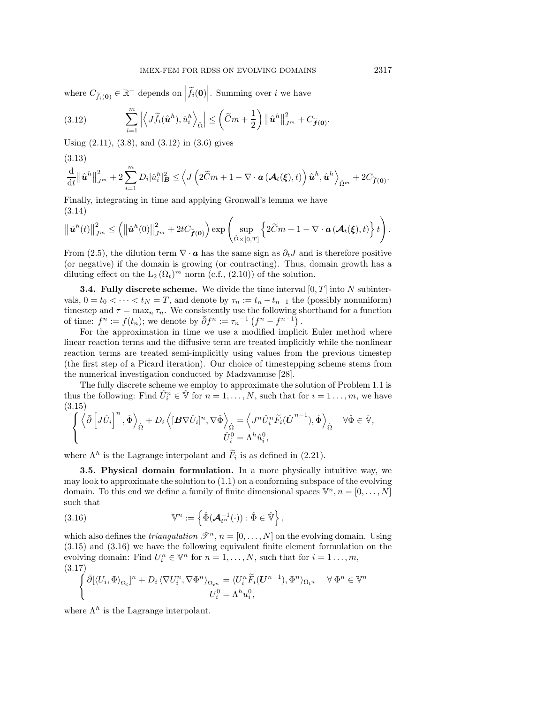where  $C_{\tilde{f}_i(\mathbf{0})} \in \mathbb{R}^+$  depends on  $|\tilde{f}_i(\mathbf{0})|$ . Summing over *i* we have

(3.12) 
$$
\sum_{i=1}^m \left| \left\langle J \widetilde{f}_i(\hat{\boldsymbol{u}}^h), \hat{u}_i^h \right\rangle_{\hat{\Omega}} \right| \leq \left( \widetilde{C}m + \frac{1}{2} \right) \left\| \hat{\boldsymbol{u}}^h \right\|_{J^m}^2 + C_{\widetilde{f}(\mathbf{0})}.
$$

Using (2.11), (3.8), and (3.12) in (3.6) gives

d  $\overline{2}$ m (3.13)

$$
\frac{\mathrm{d}}{\mathrm{d}t}\left\|\hat{\boldsymbol{u}}^{h}\right\|_{J^{m}}^{2}+2\sum_{i=1}D_{i}|\hat{u}_{i}^{h}|_{\boldsymbol{B}}^{2}\leq\left\langle J\left(2\widetilde{C}m+1-\nabla\cdot\boldsymbol{a}\left(\boldsymbol{\mathcal{A}}_{t}(\boldsymbol{\xi}),t\right)\right)\hat{\boldsymbol{u}}^{h},\hat{\boldsymbol{u}}^{h}\right\rangle_{\hat{\Omega}^{m}}+2C_{\widetilde{\boldsymbol{f}}(\boldsymbol{0})}.
$$

Finally, integrating in time and applying Gronwall's lemma we have (3.14)

$$
\left\|\hat{\boldsymbol{u}}^{h}(t)\right\|_{J^{m}}^{2} \leq \left(\left\|\hat{\boldsymbol{u}}^{h}(0)\right\|_{J^{m}}^{2} + 2tC_{\widetilde{\boldsymbol{f}}(\boldsymbol{0})}\right) \exp\left(\sup_{\hat{\Omega}\times[0,T]}\left\{2\widetilde{C}m + 1-\nabla\cdot\boldsymbol{a}\left(\boldsymbol{\mathcal{A}}_{t}(\boldsymbol{\xi}),t\right)\right\}t\right).
$$

From (2.5), the dilution term  $\nabla \cdot \mathbf{a}$  has the same sign as  $\partial_t J$  and is therefore positive (or negative) if the domain is growing (or contracting). Thus, domain growth has a diluting effect on the  $L_2(\Omega_t)^m$  norm (c.f., (2.10)) of the solution.

**3.4. Fully discrete scheme.** We divide the time interval  $[0, T]$  into N subintervals,  $0 = t_0 < \cdots < t_N = T$ , and denote by  $\tau_n := t_n - t_{n-1}$  the (possibly nonuniform) timestep and  $\tau = \max_n \tau_n$ . We consistently use the following shorthand for a function of time:  $f^n := f(t_n)$ ; we denote by  $\bar{\partial} f^n := \tau_n^{-1} (f^n - f^{n-1})$ .

For the approximation in time we use a modified implicit Euler method where linear reaction terms and the diffusive term are treated implicitly while the nonlinear reaction terms are treated semi-implicitly using values from the previous timestep (the first step of a Picard iteration). Our choice of timestepping scheme stems from the numerical investigation conducted by Madzvamuse [28].

The fully discrete scheme we employ to approximate the solution of Problem 1.1 is thus the following: Find  $\hat{U}_i^n \in \hat{\mathbb{V}}$  for  $n = 1, ..., N$ , such that for  $i = 1, ..., m$ , we have (3.15)

$$
\left\{\left\langle \bar{\partial}\left[J\hat{U}_{i}\right]^{n},\hat{\Phi}\right\rangle _{\hat{\Omega}}+D_{i}\left\langle [\boldsymbol{B}\nabla\hat{U}_{i}]^{n},\nabla\hat{\Phi}\right\rangle _{\hat{\Omega}}=\left\langle J^{n}\hat{U}_{i}^{n}\widetilde{F}_{i}(\hat{\boldsymbol{U}}^{n-1}),\hat{\Phi}\right\rangle _{\hat{\Omega}}\quad\forall\hat{\Phi}\in\hat{\mathbb{V}},
$$

$$
\hat{U}_{i}^{0}=\Lambda^{h}\hat{u}_{i}^{0},
$$

where  $\Lambda^h$  is the Lagrange interpolant and  $\widetilde{F}_i$  is as defined in (2.21).

**3.5. Physical domain formulation.** In a more physically intuitive way, we may look to approximate the solution to  $(1.1)$  on a conforming subspace of the evolving domain. To this end we define a family of finite dimensional spaces  $\mathbb{V}^n, n = [0, \ldots, N]$ such that

(3.16) 
$$
\mathbb{V}^n := \left\{ \hat{\Phi}(\mathcal{A}_{t^n}^{-1}(\cdot)) : \hat{\Phi} \in \hat{\mathbb{V}} \right\},\
$$

which also defines the *triangulation*  $\mathcal{T}^n$ ,  $n = [0, \ldots, N]$  on the evolving domain. Using (3.15) and (3.16) we have the following equivalent finite element formulation on the evolving domain: Find  $U_i^n \in \mathbb{V}^n$  for  $n = 1, \ldots, N$ , such that for  $i = 1, \ldots, m$ , (3.17)

$$
\begin{cases} \bar{\partial}[\langle U_i, \Phi \rangle_{\Omega_t}]^n + D_i \langle \nabla U_i^n, \nabla \Phi^n \rangle_{\Omega_{t^n}} = \langle U_i^n \widetilde{F}_i(\mathbf{U}^{n-1}), \Phi^n \rangle_{\Omega_{t^n}} & \forall \Phi^n \in \mathbb{V}^n \\ U_i^0 = \Lambda^h u_i^0, \end{cases}
$$

where  $\Lambda^h$  is the Lagrange interpolant.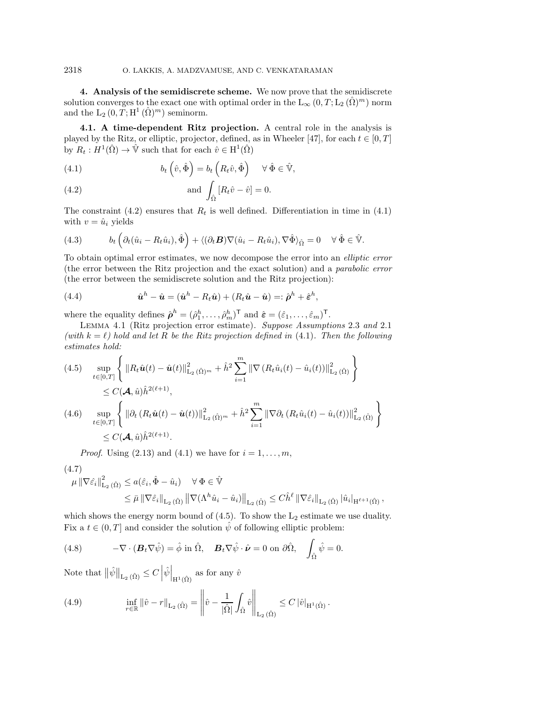**4. Analysis of the semidiscrete scheme.** We now prove that the semidiscrete solution converges to the exact one with optimal order in the  $L_{\infty}(0, T; L_2(\hat{\Omega})^m)$  norm and the  $L_2(0, T; H^1(\hat{\Omega})^m)$  seminorm.

**4.1. A time-dependent Ritz projection.** A central role in the analysis is played by the Ritz, or elliptic, projector, defined, as in Wheeler [47], for each  $t \in [0, T]$ by  $R_t : H^1(\hat{\Omega}) \to \hat{\mathbb{V}}$  such that for each  $\hat{v} \in H^1(\hat{\Omega})$ 

(4.1) 
$$
b_t\left(\hat{v},\hat{\Phi}\right) = b_t\left(R_t\hat{v},\hat{\Phi}\right) \quad \forall \hat{\Phi} \in \hat{\mathbb{V}},
$$

(4.2) and 
$$
\int_{\hat{\Omega}} \left[R_t \hat{v} - \hat{v}\right] = 0.
$$

The constraint (4.2) ensures that  $R_t$  is well defined. Differentiation in time in (4.1) with  $v = \hat{u}_i$  yields

(4.3) 
$$
b_t \left( \partial_t (\hat{u}_i - R_t \hat{u}_i), \hat{\Phi} \right) + \langle (\partial_t \mathbf{B}) \nabla (\hat{u}_i - R_t \hat{u}_i), \nabla \hat{\Phi} \rangle_{\hat{\Omega}} = 0 \quad \forall \hat{\Phi} \in \hat{\mathbb{V}}.
$$

To obtain optimal error estimates, we now decompose the error into an *elliptic error* (the error between the Ritz projection and the exact solution) and a *parabolic error* (the error between the semidiscrete solution and the Ritz projection):

(4.4) 
$$
\hat{\boldsymbol{u}}^h - \hat{\boldsymbol{u}} = (\hat{\boldsymbol{u}}^h - R_t \hat{\boldsymbol{u}}) + (R_t \hat{\boldsymbol{u}} - \hat{\boldsymbol{u}}) =: \hat{\boldsymbol{\rho}}^h + \hat{\boldsymbol{\varepsilon}}^h,
$$

where the equality defines  $\hat{\boldsymbol{\rho}}^h = (\hat{\rho}_1^h, \dots, \hat{\rho}_m^h)^\mathsf{T}$  and  $\hat{\boldsymbol{\varepsilon}} = (\hat{\varepsilon}_1, \dots, \hat{\varepsilon}_m)^\mathsf{T}$ .

Lemma 4.1 (Ritz projection error estimate). *Suppose Assumptions* 2.3 *and* 2.1 (with  $k = \ell$ ) hold and let R be the Ritz projection defined in (4.1). Then the following *estimates hold:*

$$
(4.5) \quad \sup_{t \in [0,T]} \left\{ \|R_t \hat{u}(t) - \hat{u}(t)\|_{\mathcal{L}_2(\hat{\Omega})^m}^2 + \hat{h}^2 \sum_{i=1}^m \|\nabla (R_t \hat{u}_i(t) - \hat{u}_i(t))\|_{\mathcal{L}_2(\hat{\Omega})}^2 \right\}
$$
  
\n
$$
\leq C(\mathcal{A}, \hat{u}) \hat{h}^{2(\ell+1)},
$$
  
\n
$$
(4.6) \quad \sup_{t \in [0,T]} \left\{ \|\partial_t (R_t \hat{u}(t) - \hat{u}(t))\|_{\mathcal{L}_2(\hat{\Omega})^m}^2 + \hat{h}^2 \sum_{i=1}^m \|\nabla \partial_t (R_t \hat{u}_i(t) - \hat{u}_i(t))\|_{\mathcal{L}_2(\hat{\Omega})}^2 \right\}
$$
  
\n
$$
\leq C(\mathcal{A}, \hat{u}) \hat{h}^{2(\ell+1)}.
$$

*Proof.* Using (2.13) and (4.1) we have for  $i = 1, \ldots, m$ ,

$$
(4.7) \quad \mu \|\nabla \hat{\varepsilon}_i\|_{\mathcal{L}_2(\hat{\Omega})}^2 \le a(\hat{\varepsilon}_i, \hat{\Phi} - \hat{u}_i) \quad \forall \Phi \in \hat{\mathbb{V}}
$$

$$
\leq \bar{\mu} \left\|\nabla \hat{\varepsilon}_i \right\|_{\mathrm{L}_2\,(\hat{\Omega})} \left\|\nabla (\Lambda^h \hat{u}_i - \hat{u}_i) \right\|_{\mathrm{L}_2\,(\hat{\Omega})} \leq C \hat{h}^{\ell} \left\|\nabla \hat{\varepsilon}_i \right\|_{\mathrm{L}_2\,(\hat{\Omega})} |\hat{u}_i|_{\mathrm{H}^{\ell+1}(\hat{\Omega})},
$$

which shows the energy norm bound of  $(4.5)$ . To show the  $L_2$  estimate we use duality. Fix a  $t \in (0, T]$  and consider the solution  $\hat{\psi}$  of following elliptic problem:

(4.8) 
$$
-\nabla \cdot (\mathbf{B}_t \nabla \hat{\psi}) = \hat{\phi} \text{ in } \hat{\Omega}, \quad \mathbf{B}_t \nabla \hat{\psi} \cdot \hat{\nu} = 0 \text{ on } \partial \hat{\Omega}, \quad \int_{\hat{\Omega}} \hat{\psi} = 0.
$$

Note that  $\|\hat{\psi}\|_{\mathcal{L}_2(\hat{\Omega})} \leq C \left|\hat{\psi}\right|_{\mathcal{H}^1(\hat{\Omega})}$  as for any  $\hat{v}$ 

(4.9) 
$$
\inf_{r \in \mathbb{R}} ||\hat{v} - r||_{L_2(\hat{\Omega})} = \left\| \hat{v} - \frac{1}{|\hat{\Omega}|} \int_{\hat{\Omega}} \hat{v} \right\|_{L_2(\hat{\Omega})} \leq C |\hat{v}|_{H^1(\hat{\Omega})}.
$$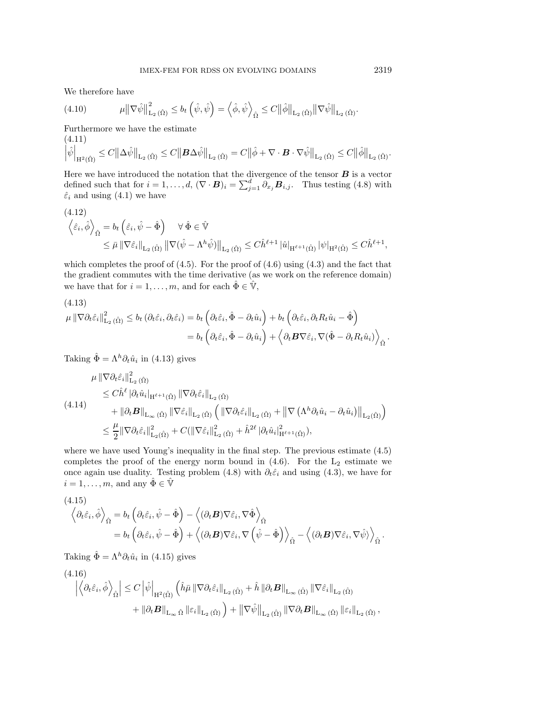We therefore have

(4.10) 
$$
\mu \|\nabla \hat{\psi}\|_{\mathrm{L}_{2}(\hat{\Omega})}^{2} \leq b_{t} \left(\hat{\psi}, \hat{\psi}\right) = \left\langle \hat{\phi}, \hat{\psi} \right\rangle_{\hat{\Omega}} \leq C \|\hat{\phi}\|_{\mathrm{L}_{2}(\hat{\Omega})} \|\nabla \hat{\psi}\|_{\mathrm{L}_{2}(\hat{\Omega})}.
$$

Furthermore we have the estimate

$$
(4.11)
$$
  

$$
\left|\hat{\psi}\right|_{\mathrm{H}^2(\hat{\Omega})} \leq C \left\|\Delta \hat{\psi}\right\|_{\mathrm{L}_2(\hat{\Omega})} \leq C \left\|\mathbf{B}\Delta \hat{\psi}\right\|_{\mathrm{L}_2(\hat{\Omega})} = C \left\|\hat{\phi} + \nabla \cdot \mathbf{B} \cdot \nabla \hat{\psi}\right\|_{\mathrm{L}_2(\hat{\Omega})} \leq C \left\|\hat{\phi}\right\|_{\mathrm{L}_2(\hat{\Omega})}.
$$

Here we have introduced the notation that the divergence of the tensor  $\boldsymbol{B}$  is a vector defined such that for  $i = 1, ..., d$ ,  $(\nabla \cdot \mathbf{B})_i = \sum_{i=1}^d \partial_{x_i} \mathbf{B}_{i,i}$ . Thus testing (4.8) with  $\hat{\varepsilon}_i$  and using (4.1) we have

$$
(4.12)
$$
  
\n
$$
\left\langle \hat{\varepsilon}_i, \hat{\phi} \right\rangle_{\hat{\Omega}} = b_t \left( \hat{\varepsilon}_i, \hat{\psi} - \hat{\Phi} \right) \quad \forall \, \hat{\Phi} \in \hat{\mathbb{V}}
$$
  
\n
$$
\leq \bar{\mu} \left\| \nabla \hat{\varepsilon}_i \right\|_{\mathcal{L}_2(\hat{\Omega})} \left\| \nabla (\hat{\psi} - \Lambda^h \hat{\psi}) \right\|_{\mathcal{L}_2(\hat{\Omega})} \leq C \hat{h}^{\ell+1} |\hat{u}|_{\mathcal{H}^{\ell+1}(\hat{\Omega})} |\psi|_{\mathcal{H}^2(\hat{\Omega})} \leq C \hat{h}^{\ell+1},
$$

which completes the proof of  $(4.5)$ . For the proof of  $(4.6)$  using  $(4.3)$  and the fact that the gradient commutes with the time derivative (as we work on the reference domain) we have that for  $i = 1, \ldots, m$ , and for each  $\hat{\Phi} \in \hat{\mathbb{V}}$ ,

(4.13)  
\n
$$
\mu \|\nabla \partial_t \hat{\varepsilon}_i\|_{\mathcal{L}_2(\hat{\Omega})}^2 \le b_t (\partial_t \hat{\varepsilon}_i, \partial_t \hat{\varepsilon}_i) = b_t \left( \partial_t \hat{\varepsilon}_i, \hat{\Phi} - \partial_t \hat{u}_i \right) + b_t \left( \partial_t \hat{\varepsilon}_i, \partial_t R_t \hat{u}_i - \hat{\Phi} \right)
$$
\n
$$
= b_t \left( \partial_t \hat{\varepsilon}_i, \hat{\Phi} - \partial_t \hat{u}_i \right) + \left( \partial_t \mathbf{B} \nabla \hat{\varepsilon}_i, \nabla (\hat{\Phi} - \partial_t R_t \hat{u}_i) \right)_{\hat{\Omega}}.
$$

Taking  $\hat{\Phi} = \Lambda^h \partial_t \hat{u}_i$  in (4.13) gives

$$
\mu \|\nabla \partial_t \hat{\varepsilon}_i\|_{\mathcal{L}_2(\hat{\Omega})}^2 \n\leq C \hat{h}^{\ell} |\partial_t \hat{u}_i|_{\mathcal{H}^{\ell+1}(\hat{\Omega})} \|\nabla \partial_t \hat{\varepsilon}_i\|_{\mathcal{L}_2(\hat{\Omega})} \n+ \|\partial_t \mathbf{B}\|_{\mathcal{L}_{\infty}(\hat{\Omega})} \|\nabla \hat{\varepsilon}_i\|_{\mathcal{L}_2(\hat{\Omega})} \left( \|\nabla \partial_t \hat{\varepsilon}_i\|_{\mathcal{L}_2(\hat{\Omega})} + \|\nabla (\Lambda^h \partial_t \hat{u}_i - \partial_t \hat{u}_i)\|_{\mathcal{L}_2(\hat{\Omega})} \right) \n\leq \frac{\mu}{2} \|\nabla \partial_t \hat{\varepsilon}_i\|_{\mathcal{L}_2(\hat{\Omega})}^2 + C (\|\nabla \hat{\varepsilon}_i\|_{\mathcal{L}_2(\hat{\Omega})}^2 + \hat{h}^{2\ell} |\partial_t \hat{u}_i|_{\mathcal{H}^{\ell+1}(\hat{\Omega})}^2),
$$

where we have used Young's inequality in the final step. The previous estimate (4.5) completes the proof of the energy norm bound in  $(4.6)$ . For the  $L_2$  estimate we once again use duality. Testing problem (4.8) with  $\partial_t \hat{\varepsilon}_i$  and using (4.3), we have for  $i = 1, \ldots, m$ , and any  $\hat{\Phi} \in \hat{\mathbb{V}}$ 

(4.15)  
\n
$$
\left\langle \partial_t \hat{\varepsilon}_i, \hat{\phi} \right\rangle_{\hat{\Omega}} = b_t \left( \partial_t \hat{\varepsilon}_i, \hat{\psi} - \hat{\Phi} \right) - \left\langle (\partial_t \mathbf{B}) \nabla \hat{\varepsilon}_i, \nabla \hat{\Phi} \right\rangle_{\hat{\Omega}} \n= b_t \left( \partial_t \hat{\varepsilon}_i, \hat{\psi} - \hat{\Phi} \right) + \left\langle (\partial_t \mathbf{B}) \nabla \hat{\varepsilon}_i, \nabla \left( \hat{\psi} - \hat{\Phi} \right) \right\rangle_{\hat{\Omega}} - \left\langle (\partial_t \mathbf{B}) \nabla \hat{\varepsilon}_i, \nabla \hat{\psi} \right\rangle_{\hat{\Omega}}.
$$

Taking  $\hat{\Phi} = \Lambda^h \partial_t \hat{u}_i$  in (4.15) gives

$$
(4.16)
$$
\n
$$
\left| \left\langle \partial_t \hat{\varepsilon}_i, \hat{\phi} \right\rangle_{\hat{\Omega}} \right| \leq C \left| \hat{\psi} \right|_{\mathrm{H}^2(\hat{\Omega})} \left( \hat{h} \bar{\mu} \left\| \nabla \partial_t \hat{\varepsilon}_i \right\|_{\mathrm{L}_2(\hat{\Omega})} + \hat{h} \left\| \partial_t \mathbf{B} \right\|_{\mathrm{L}_{\infty}(\hat{\Omega})} \left\| \nabla \hat{\varepsilon}_i \right\|_{\mathrm{L}_2(\hat{\Omega})} + \left\| \partial_t \mathbf{B} \right\|_{\mathrm{L}_{\infty}(\hat{\Omega})} \left\| \nabla \hat{\varepsilon}_i \right\|_{\mathrm{L}_2(\hat{\Omega})} \left\| \nabla \hat{\varepsilon}_i \right\|_{\mathrm{L}_2(\hat{\Omega})},
$$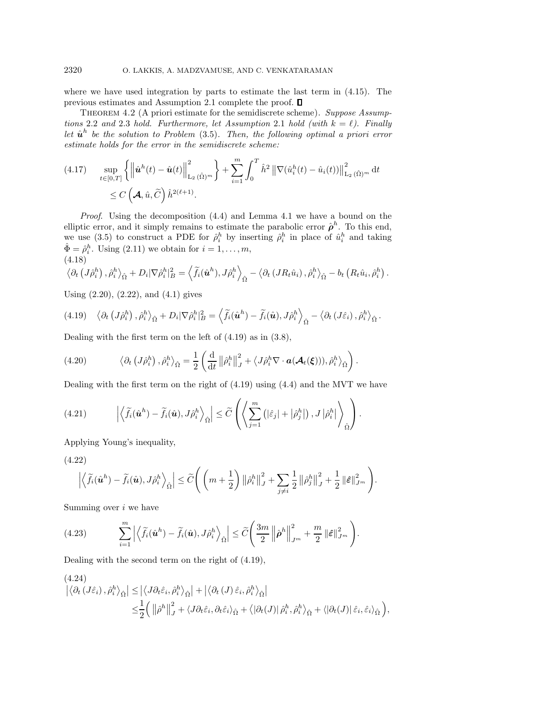where we have used integration by parts to estimate the last term in (4.15). The previous estimates and Assumption 2.1 complete the proof.

Theorem 4.2 (A priori estimate for the semidiscrete scheme). *Suppose Assumptions* 2.2 *and* 2.3 *hold. Furthermore, let Assumption* 2.1 *hold (with*  $k = \ell$ ). Finally *let*  $\hat{u}^h$  *be the solution to Problem* (3.5)*. Then, the following optimal a priori error estimate holds for the error in the semidiscrete scheme:*

$$
(4.17) \quad \sup_{t \in [0,T]} \left\{ \left\| \hat{\boldsymbol{u}}^h(t) - \hat{\boldsymbol{u}}(t) \right\|_{\mathrm{L}_2(\hat{\Omega})^m}^2 \right\} + \sum_{i=1}^m \int_0^T \hat{h}^2 \left\| \nabla(\hat{u}_i^h(t) - \hat{u}_i(t)) \right\|_{\mathrm{L}_2(\hat{\Omega})^m}^2 dt \leq C \left( \mathcal{A}, \hat{u}, \widetilde{C} \right) \hat{h}^{2(\ell+1)}.
$$

*Proof*. Using the decomposition (4.4) and Lemma 4.1 we have a bound on the elliptic error, and it simply remains to estimate the parabolic error  $\rho^h$ . To this end, we use (3.5) to construct a PDE for  $\hat{\rho}_i^h$  by inserting  $\hat{\rho}_i^h$  in place of  $\hat{u}_i^h$  and taking  $\hat{\Phi} = \hat{\rho}_i^h$ . Using (2.11) we obtain for  $i = 1, \ldots, m$ , (4.18)

$$
\left\langle \partial_t \left( J \hat{\rho}_i^h \right), \hat{\rho}_i^h \right\rangle_{\hat{\Omega}} + D_i |\nabla \hat{\rho}_i^h|_B^2 = \left\langle \widetilde{f}_i(\hat{\boldsymbol{u}}^h), J \hat{\rho}_i^h \right\rangle_{\hat{\Omega}} - \left\langle \partial_t \left( J R_t \hat{u}_i \right), \hat{\rho}_i^h \right\rangle_{\hat{\Omega}} - b_t \left( R_t \hat{u}_i, \hat{\rho}_i^h \right).
$$

Using (2.20), (2.22), and (4.1) gives

$$
(4.19)\quad \left\langle \partial_t \left( J \hat{\rho}_i^h \right), \hat{\rho}_i^h \right\rangle_{\hat{\Omega}} + D_i |\nabla \hat{\rho}_i^h|_B^2 = \left\langle \widetilde{f}_i(\hat{\boldsymbol{u}}^h) - \widetilde{f}_i(\hat{\boldsymbol{u}}), J \hat{\rho}_i^h \right\rangle_{\hat{\Omega}} - \left\langle \partial_t \left( J \hat{\varepsilon}_i \right), \hat{\rho}_i^h \right\rangle_{\hat{\Omega}}.
$$

Dealing with the first term on the left of (4.19) as in (3.8),

(4.20) 
$$
\langle \partial_t (J \hat{\rho}_i^h), \hat{\rho}_i^h \rangle_{\hat{\Omega}} = \frac{1}{2} \left( \frac{d}{dt} || \hat{\rho}_i^h ||_J^2 + \langle J \hat{\rho}_i^h \nabla \cdot \boldsymbol{a}(\boldsymbol{\mathcal{A}}_t(\boldsymbol{\xi}))), \hat{\rho}_i^h \rangle_{\hat{\Omega}} \right).
$$

Dealing with the first term on the right of (4.19) using (4.4) and the MVT we have

(4.21) 
$$
\left| \left\langle \tilde{f}_i(\hat{\boldsymbol{u}}^h) - \tilde{f}_i(\hat{\boldsymbol{u}}), J \hat{\rho}_i^h \right\rangle_{\hat{\Omega}} \right| \leq \widetilde{C} \left( \left\langle \sum_{j=1}^m \left( |\hat{\varepsilon}_j| + |\hat{\rho}_j^h| \right), J |\hat{\rho}_i^h| \right\rangle_{\hat{\Omega}} \right).
$$

Applying Young's inequality,

(4.22)

$$
\left|\left\langle \widetilde{f}_i(\hat{\boldsymbol{u}}^h) - \widetilde{f}_i(\hat{\boldsymbol{u}}), J\hat{\rho}_i^h \right\rangle_{\hat{\Omega}}\right| \leq \widetilde{C}\Bigg(\left(m+\frac{1}{2}\right) \left\|\hat{\rho}_i^h\right\|_J^2 + \sum_{j\neq i} \frac{1}{2} \left\|\hat{\rho}_j^h\right\|_J^2 + \frac{1}{2} \left\|\hat{\varepsilon}\right\|_{J^m}^2\Bigg).
$$

Summing over  $i$  we have

(4.23) 
$$
\sum_{i=1}^m \left| \left\langle \tilde{f}_i(\hat{\boldsymbol{u}}^h) - \tilde{f}_i(\hat{\boldsymbol{u}}), J \hat{\rho}_i^h \right\rangle_{\hat{\Omega}} \right| \leq \widetilde{C} \left( \frac{3m}{2} \left\| \hat{\boldsymbol{\rho}}^h \right\|_{J^m}^2 + \frac{m}{2} \left\| \hat{\boldsymbol{\varepsilon}} \right\|_{J^m}^2 \right).
$$

Dealing with the second term on the right of (4.19),

$$
(4.24)
$$
\n
$$
\left| \langle \partial_t (J\hat{\varepsilon}_i), \hat{\rho}_i^h \rangle_{\hat{\Omega}} \right| \leq \left| \langle J \partial_t \hat{\varepsilon}_i, \hat{\rho}_i^h \rangle_{\hat{\Omega}} \right| + \left| \langle \partial_t (J) \hat{\varepsilon}_i, \hat{\rho}_i^h \rangle_{\hat{\Omega}} \right|
$$
\n
$$
\leq \frac{1}{2} \left( \left\| \hat{\rho}^h \right\|_J^2 + \langle J \partial_t \hat{\varepsilon}_i, \partial_t \hat{\varepsilon}_i \rangle_{\hat{\Omega}} + \langle \left| \partial_t (J) \right| \hat{\rho}_i^h, \hat{\rho}_i^h \rangle_{\hat{\Omega}} + \langle \left| \partial_t (J) \right| \hat{\varepsilon}_i, \hat{\varepsilon}_i \rangle_{\hat{\Omega}} \right),
$$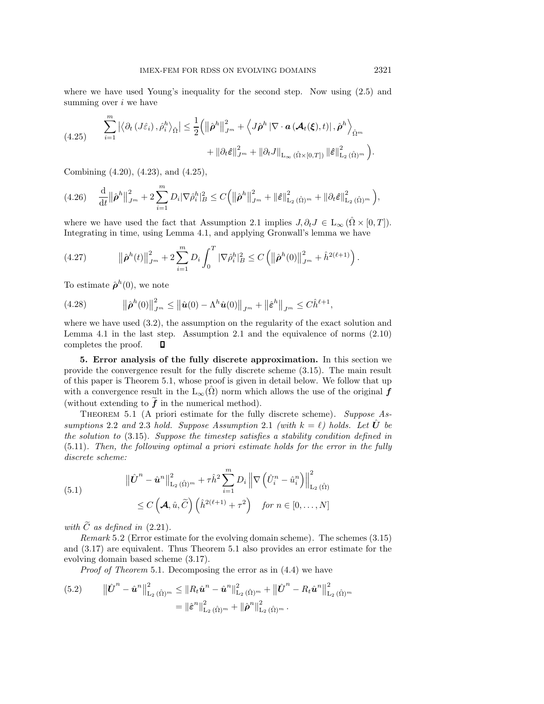where we have used Young's inequality for the second step. Now using (2.5) and summing over  $i$  we have

$$
(4.25) \qquad \sum_{i=1}^{m} \left| \left\langle \partial_t \left( J \hat{\varepsilon}_i \right), \hat{\rho}_i^h \right\rangle_{\hat{\Omega}} \right| \leq \frac{1}{2} \left( \left\| \hat{\boldsymbol{\rho}}^h \right\|_{J^m}^2 + \left\langle J \hat{\boldsymbol{\rho}}^h \left| \nabla \cdot \boldsymbol{a} \left( \boldsymbol{\mathcal{A}}_t(\boldsymbol{\xi}), t \right) \right|, \hat{\boldsymbol{\rho}}^h \right\rangle_{\hat{\Omega}^m} \right. \\ \left. + \left\| \partial_t \hat{\varepsilon} \right\|_{J^m}^2 + \left\| \partial_t J \right\|_{\mathcal{L}_{\infty}(\hat{\Omega} \times [0, T])} \left\| \hat{\varepsilon} \right\|_{\mathcal{L}_2(\hat{\Omega})^m}^2 \right).
$$

Combining (4.20), (4.23), and (4.25),

m

$$
(4.26)\quad \frac{\mathrm{d}}{\mathrm{d}t} \|\hat{\boldsymbol{\rho}}^h\|_{J^m}^2 + 2 \sum_{i=1}^m D_i |\nabla \hat{\rho}_i^h|_B^2 \leq C \Big( \|\hat{\boldsymbol{\rho}}^h\|_{J^m}^2 + \|\hat{\boldsymbol{\varepsilon}}\|_{\mathrm{L}_2(\hat{\Omega})^m}^2 + \|\partial_t \hat{\boldsymbol{\varepsilon}}\|_{\mathrm{L}_2(\hat{\Omega})^m}^2 \Big),
$$

where we have used the fact that Assumption 2.1 implies  $J, \partial_t J \in L_\infty(\hat{\Omega} \times [0, T])$ . Integrating in time, using Lemma 4.1, and applying Gronwall's lemma we have

(4.27) 
$$
\|\hat{\boldsymbol{\rho}}^h(t)\|_{J^m}^2 + 2 \sum_{i=1}^m D_i \int_0^T |\nabla \hat{\rho}_i^h|_B^2 \leq C \left( \|\hat{\boldsymbol{\rho}}^h(0)\|_{J^m}^2 + \hat{h}^{2(\ell+1)} \right).
$$

To estimate  $\hat{\boldsymbol{\rho}}^h(0)$ , we note

(4.28) 
$$
\|\hat{\boldsymbol{\rho}}^h(0)\|_{J^m}^2 \leq \|\hat{\boldsymbol{u}}(0) - \Lambda^h \hat{\boldsymbol{u}}(0)\|_{J^m} + \|\hat{\boldsymbol{\varepsilon}}^h\|_{J^m} \leq C \hat{h}^{\ell+1},
$$

where we have used (3.2), the assumption on the regularity of the exact solution and Lemma 4.1 in the last step. Assumption 2.1 and the equivalence of norms (2.10) completes the proof. П

**5. Error analysis of the fully discrete approximation.** In this section we provide the convergence result for the fully discrete scheme (3.15). The main result of this paper is Theorem 5.1, whose proof is given in detail below. We follow that up with a convergence result in the  $L_{\infty}(\Omega)$  norm which allows the use of the original  $f$ (without extending to  $\tilde{f}$  in the numerical method).

Theorem 5.1 (A priori estimate for the fully discrete scheme). *Suppose Assumptions* 2.2 *and* 2.3 *hold.* Suppose Assumption 2.1 *(with*  $k = \ell$ *) holds.* Let  $\hat{U}$  be *the solution to* (3.15)*. Suppose the timestep satisfies a stability condition defined in* (5.11)*. Then, the following optimal a priori estimate holds for the error in the fully discrete scheme:*

(5.1)  

$$
\|\hat{\boldsymbol{U}}^{n} - \hat{\boldsymbol{u}}^{n}\|_{\mathrm{L}_{2}(\hat{\Omega})^{m}}^{2} + \tau \hat{h}^{2} \sum_{i=1}^{m} D_{i} \left\| \nabla \left(\hat{U}_{i}^{n} - \hat{u}_{i}^{n}\right) \right\|_{\mathrm{L}_{2}(\hat{\Omega})}^{2}
$$

$$
\leq C \left(\boldsymbol{\mathcal{A}}, \hat{u}, \widetilde{C}\right) \left(\hat{h}^{2(\ell+1)} + \tau^{2}\right) \quad \text{for } n \in [0, \dots, N]
$$

*with*  $\tilde{C}$  *as defined in* (2.21).

*Remark* 5.2 (Error estimate for the evolving domain scheme). The schemes (3.15) and (3.17) are equivalent. Thus Theorem 5.1 also provides an error estimate for the evolving domain based scheme (3.17).

*Proof of Theorem* 5.1. Decomposing the error as in (4.4) we have

$$
(5.2) \qquad \|\hat{\boldsymbol{U}}^{n} - \hat{\boldsymbol{u}}^{n}\|_{\mathrm{L}_{2}(\hat{\Omega})^{m}}^{2} \leq \|R_{t}\hat{\boldsymbol{u}}^{n} - \hat{\boldsymbol{u}}^{n}\|_{\mathrm{L}_{2}(\hat{\Omega})^{m}}^{2} + \|\hat{\boldsymbol{U}}^{n} - R_{t}\hat{\boldsymbol{u}}^{n}\|_{\mathrm{L}_{2}(\hat{\Omega})^{m}}^{2}
$$

$$
= \|\hat{\boldsymbol{\varepsilon}}^{n}\|_{\mathrm{L}_{2}(\hat{\Omega})^{m}}^{2} + \|\hat{\boldsymbol{\rho}}^{n}\|_{\mathrm{L}_{2}(\hat{\Omega})^{m}}^{2}.
$$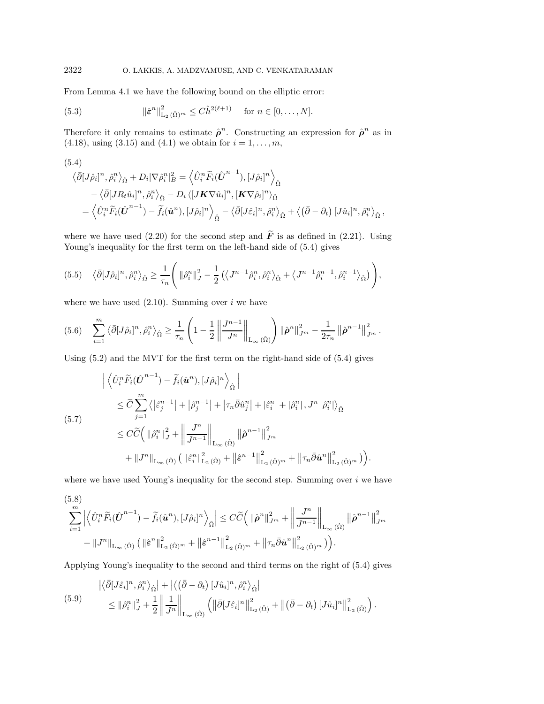From Lemma 4.1 we have the following bound on the elliptic error:

(5.3) 
$$
\|\hat{\varepsilon}^n\|_{\mathrm{L}_2(\hat{\Omega})^m}^2 \leq C \hat{h}^{2(\ell+1)} \quad \text{for } n \in [0, \ldots, N].
$$

Therefore it only remains to estimate  $\hat{\rho}^n$ . Constructing an expression for  $\hat{\rho}^n$  as in (4.18), using (3.15) and (4.1) we obtain for  $i = 1, ..., m$ ,

(5.4)  
\n
$$
\langle \bar{\partial} [J\hat{\rho}_i]^n, \hat{\rho}_i^n \rangle_{\hat{\Omega}} + D_i |\nabla \hat{\rho}_i^n|_B^2 = \langle \hat{U}_i^n \tilde{F}_i (\hat{\boldsymbol{U}}^{n-1}), [J\hat{\rho}_i]^n \rangle_{\hat{\Omega}} \n- \langle \bar{\partial} [J R_t \hat{u}_i]^n, \hat{\rho}_i^n \rangle_{\hat{\Omega}} - D_i \langle [J \boldsymbol{K} \nabla \hat{u}_i]^n, [\boldsymbol{K} \nabla \hat{\rho}_i]^n \rangle_{\hat{\Omega}} \n= \langle \hat{U}_i^n \tilde{F}_i (\hat{\boldsymbol{U}}^{n-1}) - \tilde{f}_i (\hat{\boldsymbol{u}}^n), [J\hat{\rho}_i]^n \rangle_{\hat{\Omega}} - \langle \bar{\partial} [J \hat{\varepsilon}_i]^n, \hat{\rho}_i^n \rangle_{\hat{\Omega}} + \langle (\bar{\partial} - \partial_t) [J \hat{u}_i]^n, \hat{\rho}_i^n \rangle_{\hat{\Omega}},
$$

where we have used (2.20) for the second step and  $\tilde{F}$  is as defined in (2.21). Using Young's inequality for the first term on the left-hand side of  $(5.4)$  gives

$$
(5.5) \quad \langle \bar{\partial} [J\hat{\rho}_i]^n, \hat{\rho}_i^n \rangle_{\hat{\Omega}} \ge \frac{1}{\tau_n} \Bigg( \| \hat{\rho}_i^n \|_{J}^2 - \frac{1}{2} \left( \langle J^{n-1} \hat{\rho}_i^n, \hat{\rho}_i^n \rangle_{\hat{\Omega}} + \langle J^{n-1} \hat{\rho}_i^{n-1}, \hat{\rho}_i^{n-1} \rangle_{\hat{\Omega}} \right) \Bigg),
$$

where we have used  $(2.10)$ . Summing over *i* we have

$$
(5.6) \quad \sum_{i=1}^{m} \left\langle \bar{\partial} [J\hat{\rho}_{i}]^{n}, \hat{\rho}_{i}^{n} \right\rangle_{\hat{\Omega}} \ge \frac{1}{\tau_{n}} \left( 1 - \frac{1}{2} \left\| \frac{J^{n-1}}{J^{n}} \right\|_{L_{\infty}(\hat{\Omega})} \right) \left\| \hat{\rho}^{n} \right\|_{J^{m}}^{2} - \frac{1}{2\tau_{n}} \left\| \hat{\rho}^{n-1} \right\|_{J^{m}}^{2}.
$$

Using (5.2) and the MVT for the first term on the right-hand side of (5.4) gives

$$
\left| \left\langle \hat{U}_{i}^{n} \tilde{F}_{i}(\hat{U}^{n-1}) - \tilde{f}_{i}(\hat{u}^{n}), [J\hat{\rho}_{i}]^{n} \right\rangle_{\hat{\Omega}} \right|
$$
\n
$$
\leq \tilde{C} \sum_{j=1}^{m} \left\langle |\tilde{\varepsilon}_{j}^{n-1}| + |\hat{\rho}_{j}^{n-1}| + |\tau_{n} \bar{\partial} \hat{u}_{j}^{n}| + |\tilde{\varepsilon}_{i}^{n}| + |\hat{\rho}_{i}^{n}|, J^{n} |\hat{\rho}_{i}^{n}| \right\rangle_{\hat{\Omega}}
$$
\n
$$
\leq C \tilde{C} \left( \|\hat{\rho}_{i}^{n}\|_{J}^{2} + \left\|\frac{J^{n}}{J^{n-1}}\right\|_{L_{\infty}(\hat{\Omega})} \left\|\hat{\rho}^{n-1}\right\|_{J^{m}}^{2}
$$
\n
$$
+ \|J^{n}\|_{L_{\infty}(\hat{\Omega})} \left( \|\tilde{\varepsilon}_{i}^{n}\|_{L_{2}(\hat{\Omega})}^{2} + \|\tilde{\varepsilon}_{i}^{n-1}\|_{L_{2}(\hat{\Omega})^{m}}^{2} + \|\tau_{n} \bar{\partial} \hat{u}^{n}\|_{L_{2}(\hat{\Omega})^{m}}^{2} \right) \right).
$$

where we have used Young's inequality for the second step. Summing over  $i$  we have

$$
\sum_{i=1}^{m} \left| \left\langle \hat{U}_{i}^{n} \tilde{F}_{i}(\hat{\boldsymbol{U}}^{n-1}) - \tilde{f}_{i}(\hat{\boldsymbol{u}}^{n}), [J\hat{\rho}_{i}]^{n} \right\rangle_{\hat{\Omega}} \right| \leq C \widetilde{C} \Big( \|\hat{\boldsymbol{\rho}}^{n}\|_{J^{m}}^{2} + \left\| \frac{J^{n}}{J^{n-1}} \right\|_{L_{\infty}(\hat{\Omega})} \|\hat{\boldsymbol{\rho}}^{n-1}\|_{J^{m}}^{2} + \|J^{n}\|_{L_{\infty}(\hat{\Omega})} \left( \|\hat{\boldsymbol{\varepsilon}}^{n}\|_{L_{2}(\hat{\Omega})^{m}}^{2} + \|\hat{\boldsymbol{\varepsilon}}^{n-1}\|_{L_{2}(\hat{\Omega})^{m}}^{2} + \|\tau_{n}\bar{\partial}\hat{\boldsymbol{u}}^{n}\|_{L_{2}(\hat{\Omega})^{m}}^{2} \Big) \Big).
$$

Applying Young's inequality to the second and third terms on the right of (5.4) gives

$$
\begin{split} |\langle \bar{\partial} [J\hat{\varepsilon}_{i}]^{n}, \hat{\rho}_{i}^{n} \rangle_{\hat{\Omega}}| + |\langle (\bar{\partial} - \partial_{t}) [J\hat{u}_{i}]^{n}, \hat{\rho}_{i}^{n} \rangle_{\hat{\Omega}}| \\ \leq ||\hat{\rho}_{i}^{n}||_{J}^{2} + \frac{1}{2} \left\| \frac{1}{J^{n}} \right\|_{\mathcal{L}_{\infty}(\hat{\Omega})} \left( \|\bar{\partial} [J\hat{\varepsilon}_{i}]^{n} \right\|_{\mathcal{L}_{2}(\hat{\Omega})}^{2} + \|(\bar{\partial} - \partial_{t}) [J\hat{u}_{i}]^{n} \right\|_{\mathcal{L}_{2}(\hat{\Omega})}^{2} \right). \end{split}
$$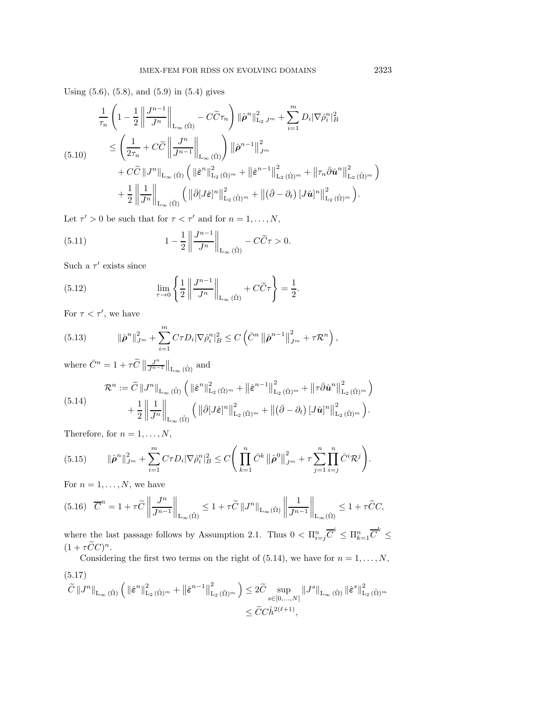Using (5.6), (5.8), and (5.9) in (5.4) gives

$$
\frac{1}{\tau_n} \left( 1 - \frac{1}{2} \left\| \frac{J^{n-1}}{J^n} \right\|_{\mathcal{L}_{\infty}(\hat{\Omega})} - C\tilde{C}\tau_n \right) \left\| \hat{\rho}^n \right\|_{\mathcal{L}_2 J^m}^2 + \sum_{i=1}^m D_i |\nabla \hat{\rho}_i^n|_B^2
$$
\n
$$
\leq \left( \frac{1}{2\tau_n} + C\tilde{C} \left\| \frac{J^n}{J^{n-1}} \right\|_{\mathcal{L}_{\infty}(\hat{\Omega})} \right) \left\| \hat{\rho}^{n-1} \right\|_{J^m}^2
$$
\n
$$
+ C\tilde{C} \left\| J^n \right\|_{\mathcal{L}_{\infty}(\hat{\Omega})} \left( \left\| \hat{\varepsilon}^n \right\|_{\mathcal{L}_2(\hat{\Omega})^m}^2 + \left\| \hat{\varepsilon}^{n-1} \right\|_{\mathcal{L}_2(\hat{\Omega})^m}^2 + \left\| \tau_n \bar{\partial} \hat{\mathbf{u}}^n \right\|_{\mathcal{L}_2(\hat{\Omega})^m}^2 \right)
$$
\n
$$
+ \frac{1}{2} \left\| \frac{1}{J^n} \right\|_{\mathcal{L}_{\infty}(\hat{\Omega})} \left( \left\| \bar{\partial} [J\hat{\varepsilon}]^n \right\|_{\mathcal{L}_2(\hat{\Omega})^m}^2 + \left\| (\bar{\partial} - \partial_t) [J\hat{\mathbf{u}}]^n \right\|_{\mathcal{L}_2(\hat{\Omega})^m}^2 \right).
$$

Let  $\tau' > 0$  be such that for  $\tau < \tau'$  and for  $n = 1, \ldots, N$ ,

(5.11) 
$$
1 - \frac{1}{2} \left\| \frac{J^{n-1}}{J^n} \right\|_{L_\infty(\hat{\Omega})} - C\widetilde{C}\tau > 0.
$$

Such a  $\tau'$  exists since

(5.12) 
$$
\lim_{\tau \to 0} \left\{ \frac{1}{2} \left\| \frac{J^{n-1}}{J^n} \right\|_{L_\infty(\hat{\Omega})} + C\widetilde{C}\tau \right\} = \frac{1}{2}.
$$

For  $\tau < \tau'$ , we have

(5.13) 
$$
\|\hat{\boldsymbol{\rho}}^n\|_{J^m}^2 + \sum_{i=1}^m C\tau D_i |\nabla \hat{\rho}_i^n|_B^2 \leq C \left( \bar{C}^n \left\|\hat{\boldsymbol{\rho}}^{n-1}\right\|_{J^m}^2 + \tau \mathcal{R}^n \right),
$$

where  $\overline{C}^n = 1 + \tau \widetilde{C}$  $\frac{J^n}{J^{n-1}}\Big\|_{L_\infty(\hat{\Omega})}$  and

$$
\mathcal{R}^{n} := \widetilde{C} \left\| J^{n} \right\|_{\mathcal{L}_{\infty}(\hat{\Omega})} \left( \left\| \hat{\varepsilon}^{n} \right\|_{\mathcal{L}_{2}(\hat{\Omega})^{m}}^{2} + \left\| \hat{\varepsilon}^{n-1} \right\|_{\mathcal{L}_{2}(\hat{\Omega})^{m}}^{2} + \left\| \tau \bar{\partial} \hat{\mathbf{u}}^{n} \right\|_{\mathcal{L}_{2}(\hat{\Omega})^{m}}^{2} \right) + \frac{1}{2} \left\| \frac{1}{J^{n}} \right\|_{\mathcal{L}_{\infty}(\hat{\Omega})} \left( \left\| \bar{\partial} [J\hat{\varepsilon}]^{n} \right\|_{\mathcal{L}_{2}(\hat{\Omega})^{m}}^{2} + \left\| (\bar{\partial} - \partial_{t}) [J\hat{\mathbf{u}}]^{n} \right\|_{\mathcal{L}_{2}(\hat{\Omega})^{m}}^{2} \right).
$$

Therefore, for  $n = 1, \ldots, N$ ,

$$
(5.15) \qquad \|\hat{\boldsymbol{\rho}}^n\|_{J^m}^2 + \sum_{i=1}^m C\tau D_i |\nabla \hat{\rho}_i^n|_B^2 \leq C \Bigg( \prod_{k=1}^n \bar{C}^k \left\| \hat{\boldsymbol{\rho}}^0 \right\|_{J^m}^2 + \tau \sum_{j=1}^n \prod_{i=j}^n \bar{C}^i \mathcal{R}^j \Bigg).
$$

For  $n = 1, \ldots, N$ , we have

$$
(5.16)\quad \overline{C}^n = 1 + \tau \widetilde{C} \left\| \frac{J^n}{J^{n-1}} \right\|_{\mathcal{L}_{\infty}(\hat{\Omega})} \le 1 + \tau \widetilde{C} \left\| J^n \right\|_{\mathcal{L}_{\infty}(\hat{\Omega})} \left\| \frac{1}{J^{n-1}} \right\|_{\mathcal{L}_{\infty}(\hat{\Omega})} \le 1 + \tau \widetilde{C}C,
$$

where the last passage follows by Assumption 2.1. Thus  $0 < \prod_{i=1}^n \overline{C}^i \leq \prod_{k=1}^n \overline{C}^k \leq$  $(1 + \tau \widetilde{C} C)^n$ .

Considering the first two terms on the right of (5.14), we have for  $n = 1, \ldots, N$ , (5.17)

$$
\widetilde{C} \left\| J^{n} \right\|_{\mathcal{L}_{\infty}(\hat{\Omega})} \left( \left\| \hat{\varepsilon}^{n} \right\|_{\mathcal{L}_{2}(\hat{\Omega})^{m}}^{2} + \left\| \hat{\varepsilon}^{n-1} \right\|_{\mathcal{L}_{2}(\hat{\Omega})^{m}}^{2} \right) \leq 2 \widetilde{C} \sup_{s \in [0, ..., N]} \left\| J^{s} \right\|_{\mathcal{L}_{\infty}(\hat{\Omega})} \left\| \hat{\varepsilon}^{s} \right\|_{\mathcal{L}_{2}(\hat{\Omega})^{m}}^{2}
$$

$$
\leq \widetilde{C} C \hat{h}^{2(\ell+1)},
$$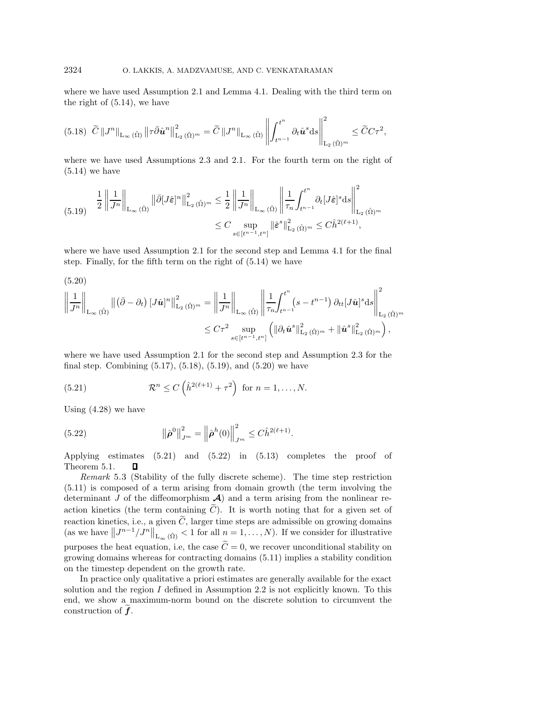where we have used Assumption 2.1 and Lemma 4.1. Dealing with the third term on the right of (5.14), we have

$$
(5.18)\ \ \widetilde{C}\left\|J^{n}\right\|_{\mathrm{L}_{\infty}\left(\hat{\Omega}\right)}\left\|\tau\bar{\partial}\hat{\boldsymbol{u}}^{n}\right\|_{\mathrm{L}_{2}\left(\hat{\Omega}\right)^{m}}^{2}=\widetilde{C}\left\|J^{n}\right\|_{\mathrm{L}_{\infty}\left(\hat{\Omega}\right)}\left\|\int_{t^{n-1}}^{t^{n}}\partial_{t}\hat{\boldsymbol{u}}^{s}\mathrm{d}s\right\|_{\mathrm{L}_{2}\left(\hat{\Omega}\right)^{m}}^{2}\leq\widetilde{C}C\tau^{2},
$$

where we have used Assumptions 2.3 and 2.1. For the fourth term on the right of  $(5.14)$  we have

$$
(5.19) \quad \frac{1}{2} \left\| \frac{1}{J^n} \right\|_{\mathcal{L}_{\infty}(\hat{\Omega})} \left\| \bar{\partial} [J\hat{\varepsilon}]^n \right\|_{\mathcal{L}_2(\hat{\Omega})^m}^2 \leq \frac{1}{2} \left\| \frac{1}{J^n} \right\|_{\mathcal{L}_{\infty}(\hat{\Omega})} \left\| \frac{1}{\tau_n} \int_{t^{n-1}}^{t^n} \partial_t [J\hat{\varepsilon}]^s \mathrm{d} s \right\|_{\mathcal{L}_2(\hat{\Omega})^m}^2
$$

$$
\leq C \sup_{s \in [t^{n-1}, t^n]} \left\| \hat{\varepsilon}^s \right\|_{\mathcal{L}_2(\hat{\Omega})^m}^2 \leq C \hat{h}^{2(\ell+1)},
$$

where we have used Assumption 2.1 for the second step and Lemma 4.1 for the final step. Finally, for the fifth term on the right of (5.14) we have

(5.20)

$$
\left\|\frac{1}{J^n}\right\|_{\mathrm{L}_{\infty}(\hat{\Omega})} \left\|(\bar{\partial}-\partial_t)\left[J\hat{\mathbf{u}}\right]^n\right\|_{\mathrm{L}_2(\hat{\Omega})^m}^2 = \left\|\frac{1}{J^n}\right\|_{\mathrm{L}_{\infty}(\hat{\Omega})} \left\|\frac{1}{\tau_n}\int_{t^{n-1}}^{t^n} (s-t^{n-1})\,\partial_{tt}[J\hat{\mathbf{u}}]^s \mathrm{d}s\right\|_{\mathrm{L}_2(\hat{\Omega})^m}^2
$$
  

$$
\leq C\tau^2 \sup_{s \in [t^{n-1},t^n]} \left(\left\|\partial_t\hat{\mathbf{u}}^s\right\|_{\mathrm{L}_2(\hat{\Omega})^m}^2 + \left\|\hat{\mathbf{u}}^s\right\|_{\mathrm{L}_2(\hat{\Omega})^m}^2\right),
$$

where we have used Assumption 2.1 for the second step and Assumption 2.3 for the final step. Combining (5.17), (5.18), (5.19), and (5.20) we have

(5.21) 
$$
\mathcal{R}^n \leq C\left(\hat{h}^{2(\ell+1)} + \tau^2\right) \text{ for } n = 1,\ldots,N.
$$

Using (4.28) we have

(5.22) 
$$
\|\hat{\boldsymbol{\rho}}^{0}\|_{J^{m}}^{2} = \left\|\hat{\boldsymbol{\rho}}^{h}(0)\right\|_{J^{m}}^{2} \leq C \hat{h}^{2(\ell+1)}.
$$

Applying estimates (5.21) and (5.22) in (5.13) completes the proof of Theorem 5.1. П

*Remark* 5.3 (Stability of the fully discrete scheme). The time step restriction (5.11) is composed of a term arising from domain growth (the term involving the determinant  $J$  of the diffeomorphism  $\mathcal{A}$ ) and a term arising from the nonlinear reaction kinetics (the term containing  $\tilde{C}$ ). It is worth noting that for a given set of reaction kinetics, i.e., a given  $\tilde{C}$ , larger time steps are admissible on growing domains (as we have  $||J^{n-1}/J^n||_{L_{\infty}(\hat{\Omega})} < 1$  for all  $n = 1, ..., N$ ). If we consider for illustrative purposes the heat equation, i.e, the case  $\tilde{C} = 0$ , we recover unconditional stability on growing domains whereas for contracting domains (5.11) implies a stability condition on the timestep dependent on the growth rate.

In practice only qualitative a priori estimates are generally available for the exact solution and the region  $I$  defined in Assumption 2.2 is not explicitly known. To this end, we show a maximum-norm bound on the discrete solution to circumvent the construction of *<sup>f</sup>*.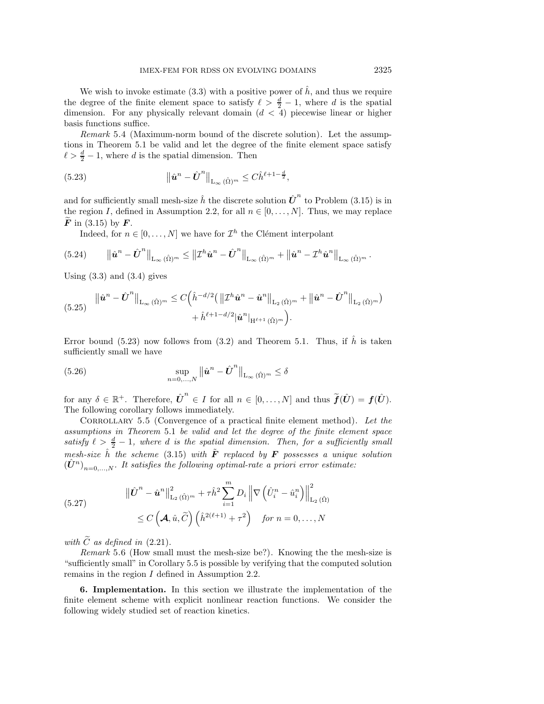We wish to invoke estimate (3.3) with a positive power of  $\hat{h}$ , and thus we require the degree of the finite element space to satisfy  $\ell > \frac{d}{2} - 1$ , where d is the spatial dimension. For any physically relevant domain  $(d < 4)$  piecewise linear or higher basis functions suffice.

*Remark* 5.4 (Maximum-norm bound of the discrete solution). Let the assumptions in Theorem 5.1 be valid and let the degree of the finite element space satisfy  $\ell > \frac{d}{2} - 1$ , where d is the spatial dimension. Then

(5.23) 
$$
\|\hat{u}^n - \hat{U}^n\|_{L_{\infty}(\hat{\Omega})^m} \leq C \hat{h}^{\ell+1-\frac{d}{2}},
$$

and for sufficiently small mesh-size  $\hat{h}$  the discrete solution  $\hat{U}^n$  to Problem (3.15) is in the region I, defined in Assumption 2.2, for all  $n \in [0, \ldots, N]$ . Thus, we may replace *<sup>F</sup>* in (3.15) by *<sup>F</sup>*.

Indeed, for  $n \in [0, \ldots, N]$  we have for  $\mathcal{I}^h$  the Clément interpolant

$$
(5.24) \qquad \left\|\hat{\boldsymbol{u}}^{n}-\hat{\boldsymbol{U}}^{n}\right\|_{\mathrm{L}_{\infty}(\hat{\Omega})^{m}} \leq \left\|\mathcal{I}^{h}\hat{\boldsymbol{u}}^{n}-\hat{\boldsymbol{U}}^{n}\right\|_{\mathrm{L}_{\infty}(\hat{\Omega})^{m}} + \left\|\hat{\boldsymbol{u}}^{n}-\mathcal{I}^{h}\hat{\boldsymbol{u}}^{n}\right\|_{\mathrm{L}_{\infty}(\hat{\Omega})^{m}}.
$$

Using  $(3.3)$  and  $(3.4)$  gives

$$
(5.25) \quad \|\hat{\mathbf{u}}^{n} - \hat{\mathbf{U}}^{n}\|_{\mathcal{L}_{\infty}(\hat{\Omega})^{m}} \leq C\Big(\hat{h}^{-d/2}\big(\left\|\mathcal{I}^{h}\hat{\mathbf{u}}^{n} - \hat{\mathbf{u}}^{n}\right\|_{\mathcal{L}_{2}(\hat{\Omega})^{m}} + \left\|\hat{\mathbf{u}}^{n} - \hat{\mathbf{U}}^{n}\right\|_{\mathcal{L}_{2}(\hat{\Omega})^{m}}) + \hat{h}^{\ell+1-d/2}|\hat{\mathbf{u}}^{n}|_{\mathcal{H}^{\ell+1}(\hat{\Omega})^{m}}\Big).
$$

Error bound (5.23) now follows from (3.2) and Theorem 5.1. Thus, if  $\hat{h}$  is taken sufficiently small we have

(5.26) 
$$
\sup_{n=0,\ldots,N} \|\hat{\boldsymbol{u}}^{n} - \hat{\boldsymbol{U}}^{n}\|_{\mathrm{L}_{\infty}(\hat{\Omega})^{m}} \leq \delta
$$

for any  $\delta \in \mathbb{R}^+$ . Therefore,  $\hat{U}^n \in I$  for all  $n \in [0,\ldots,N]$  and thus  $\widetilde{f}(\hat{U}) = f(\hat{U})$ . The following corollary follows immediately.

Corrollary 5.5 (Convergence of a practical finite element method). *Let the assumptions in Theorem* 5.1 *be valid and let the degree of the finite element space* satisfy  $\ell > \frac{d}{2} - 1$ , where d is the spatial dimension. Then, for a sufficiently small *mesh-size*  $\hat{h}$  *the scheme* (3.15) *with*  $\tilde{F}$  *replaced by*  $F$  *possesses a unique solution*  $(\hat{U}^n)_{n=0,...,N}$ *. It satisfies the following optimal-rate a priori error estimate:* 

(5.27) 
$$
\|\hat{\boldsymbol{U}}^{n} - \hat{\boldsymbol{u}}^{n}\|_{\mathrm{L}_{2}(\hat{\Omega})^{m}}^{2} + \tau \hat{h}^{2} \sum_{i=1}^{m} D_{i} \left\| \nabla \left(\hat{U}_{i}^{n} - \hat{u}_{i}^{n}\right) \right\|_{\mathrm{L}_{2}(\hat{\Omega})}^{2} \leq C \left(\mathcal{A}, \hat{u}, \widetilde{C}\right) \left(\hat{h}^{2(\ell+1)} + \tau^{2}\right) \quad \text{for } n = 0, ..., N
$$

*with*  $\widetilde{C}$  *as defined in* (2.21).

*Remark* 5.6 (How small must the mesh-size be?). Knowing the the mesh-size is "sufficiently small" in Corollary 5.5 is possible by verifying that the computed solution remains in the region I defined in Assumption 2.2.

**6. Implementation.** In this section we illustrate the implementation of the finite element scheme with explicit nonlinear reaction functions. We consider the following widely studied set of reaction kinetics.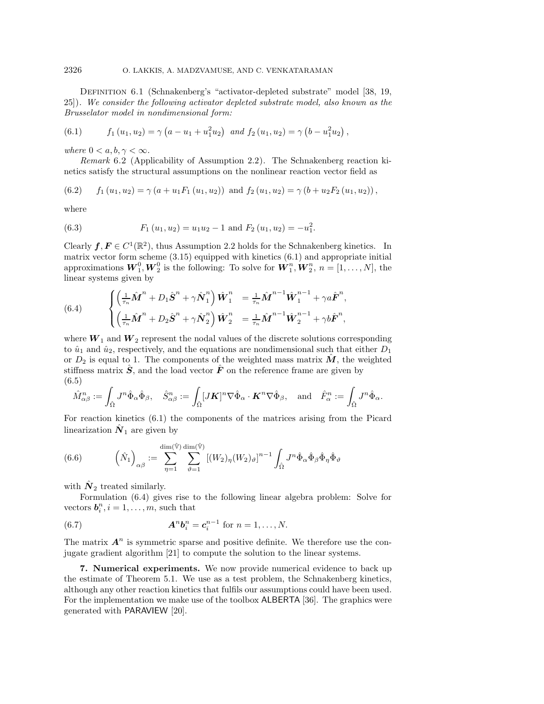Definition 6.1 (Schnakenberg's "activator-depleted substrate" model [38, 19, 25]). *We consider the following activator depleted substrate model, also known as the Brusselator model in nondimensional form:*

(6.1) 
$$
f_1(u_1, u_2) = \gamma \left( a - u_1 + u_1^2 u_2 \right) \text{ and } f_2(u_1, u_2) = \gamma \left( b - u_1^2 u_2 \right),
$$

*where*  $0 < a, b, \gamma < \infty$ *.* 

*Remark* 6.2 (Applicability of Assumption 2.2). The Schnakenberg reaction kinetics satisfy the structural assumptions on the nonlinear reaction vector field as

(6.2) 
$$
f_1(u_1, u_2) = \gamma (a + u_1 F_1(u_1, u_2))
$$
 and  $f_2(u_1, u_2) = \gamma (b + u_2 F_2(u_1, u_2))$ ,

where

(6.3) 
$$
F_1(u_1, u_2) = u_1 u_2 - 1 \text{ and } F_2(u_1, u_2) = -u_1^2.
$$

Clearly  $f, F \in C^1(\mathbb{R}^2)$ , thus Assumption 2.2 holds for the Schnakenberg kinetics. In matrix vector form scheme (3.15) equipped with kinetics (6.1) and appropriate initial approximations  $W_1^0, W_2^0$  is the following: To solve for  $\mathbf{W}_1^n, \mathbf{W}_2^n, n = [1, \ldots, N]$ , the linear systems given by

(6.4) 
$$
\begin{cases} \left(\frac{1}{\tau_n}\hat{M}^n + D_1\hat{S}^n + \gamma \hat{N}_1^n\right)\hat{W}_1^n = \frac{1}{\tau_n}\hat{M}^{n-1}\hat{W}_1^{n-1} + \gamma a\hat{F}^n, \\ \left(\frac{1}{\tau_n}\hat{M}^n + D_2\hat{S}^n + \gamma \hat{N}_2^n\right)\hat{W}_2^n = \frac{1}{\tau_n}\hat{M}^{n-1}\hat{W}_2^{n-1} + \gamma b\hat{F}^n, \end{cases}
$$

where  $W_1$  and  $W_2$  represent the nodal values of the discrete solutions corresponding to  $\hat{u}_1$  and  $\hat{u}_2$ , respectively, and the equations are nondimensional such that either  $D_1$ or  $D_2$  is equal to 1. The components of the weighted mass matrix  $\hat{M}$ , the weighted stiffness matrix  $\vec{S}$ , and the load vector  $\vec{F}$  on the reference frame are given by (6.5)

$$
\hat{M}^n_{\alpha\beta} := \int_{\hat{\Omega}} J^n \hat{\Phi}_{\alpha} \hat{\Phi}_{\beta}, \quad \hat{S}^n_{\alpha\beta} := \int_{\hat{\Omega}} [J\boldsymbol{K}]^n \nabla \hat{\Phi}_{\alpha} \cdot \boldsymbol{K}^n \nabla \hat{\Phi}_{\beta}, \quad \text{and} \quad \hat{F}^n_{\alpha} := \int_{\hat{\Omega}} J^n \hat{\Phi}_{\alpha}.
$$

For reaction kinetics (6.1) the components of the matrices arising from the Picard linearization  $\hat{N}_1$  are given by

(6.6) 
$$
(\hat{N}_1)_{\alpha\beta} := \sum_{\eta=1}^{\dim(\hat{\mathbb{V}})} \sum_{\vartheta=1}^{\dim(\hat{\mathbb{V}})} [(W_2)_{\eta} (W_2)_{\vartheta}]^{n-1} \int_{\hat{\Omega}} J^n \hat{\Phi}_{\alpha} \hat{\Phi}_{\beta} \hat{\Phi}_{\eta} \hat{\Phi}_{\vartheta}
$$

with  $N_2$  treated similarly.

Formulation (6.4) gives rise to the following linear algebra problem: Solve for vectors  $\boldsymbol{b}_i^n, i = 1, \ldots, m$ , such that

(6.7) 
$$
A^{n}b_{i}^{n}=c_{i}^{n-1} \text{ for } n=1,\ldots,N.
$$

The matrix  $A^n$  is symmetric sparse and positive definite. We therefore use the conjugate gradient algorithm [21] to compute the solution to the linear systems.

**7. Numerical experiments.** We now provide numerical evidence to back up the estimate of Theorem 5.1. We use as a test problem, the Schnakenberg kinetics, although any other reaction kinetics that fulfils our assumptions could have been used. For the implementation we make use of the toolbox ALBERTA [36]. The graphics were generated with PARAVIEW [20].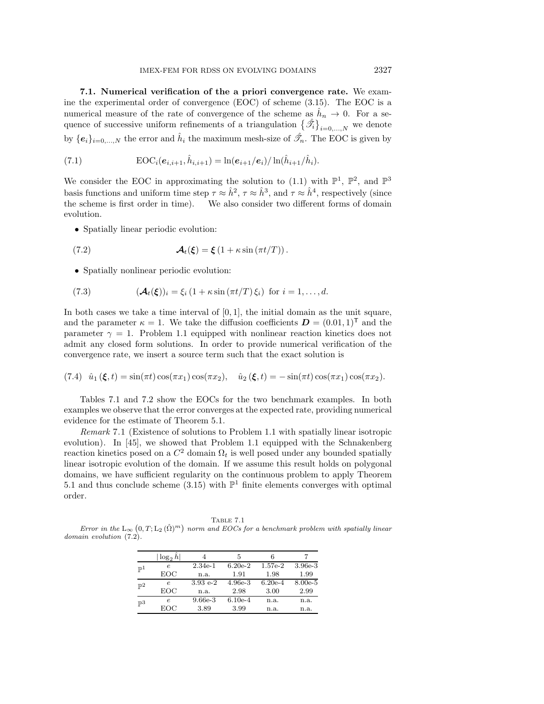**7.1. Numerical verification of the a priori convergence rate.** We examine the experimental order of convergence (EOC) of scheme (3.15). The EOC is a numerical measure of the rate of convergence of the scheme as  $\hat{h}_n \to 0$ . For a sequence of successive uniform refinements of a triangulation  $\{\hat{\mathcal{I}}_i\}_{i=0,\ldots,N}$  we denote by  $\{e_i\}_{i=0,\dots,N}$  the error and  $\hat{h}_i$  the maximum mesh-size of  $\hat{\mathscr{T}}_n$ . The EOC is given by

(7.1) 
$$
EOC_i(e_{i,i+1}, \hat{h}_{i,i+1}) = \ln(e_{i+1}/e_i)/\ln(\hat{h}_{i+1}/\hat{h}_i).
$$

We consider the EOC in approximating the solution to (1.1) with  $\mathbb{P}^1$ ,  $\mathbb{P}^2$ , and  $\mathbb{P}^3$ basis functions and uniform time step  $\tau \approx \hat{h}^2$ ,  $\tau \approx \hat{h}^3$ , and  $\tau \approx \hat{h}^4$ , respectively (since the scheme is first order in time). We also consider two different forms of domain evolution.

• Spatially linear periodic evolution:

(7.2) 
$$
\mathcal{A}_t(\xi) = \xi \left(1 + \kappa \sin \left(\pi t/T\right)\right).
$$

• Spatially nonlinear periodic evolution:

(7.3) 
$$
(\mathcal{A}_t(\xi))_i = \xi_i (1 + \kappa \sin(\pi t/T) \xi_i) \text{ for } i = 1, ..., d.
$$

In both cases we take a time interval of  $[0, 1]$ , the initial domain as the unit square, and the parameter  $\kappa = 1$ . We take the diffusion coefficients  $\mathbf{D} = (0.01, 1)^\mathsf{T}$  and the parameter  $\gamma = 1$ . Problem 1.1 equipped with nonlinear reaction kinetics does not admit any closed form solutions. In order to provide numerical verification of the convergence rate, we insert a source term such that the exact solution is

(7.4) 
$$
\hat{u}_1(\xi, t) = \sin(\pi t) \cos(\pi x_1) \cos(\pi x_2), \quad \hat{u}_2(\xi, t) = -\sin(\pi t) \cos(\pi x_1) \cos(\pi x_2).
$$

Tables 7.1 and 7.2 show the EOCs for the two benchmark examples. In both examples we observe that the error converges at the expected rate, providing numerical evidence for the estimate of Theorem 5.1.

*Remark* 7.1 (Existence of solutions to Problem 1.1 with spatially linear isotropic evolution). In [45], we showed that Problem 1.1 equipped with the Schnakenberg reaction kinetics posed on a  $C^2$  domain  $\Omega_t$  is well posed under any bounded spatially linear isotropic evolution of the domain. If we assume this result holds on polygonal domains, we have sufficient regularity on the continuous problem to apply Theorem 5.1 and thus conclude scheme (3.15) with  $\mathbb{P}^1$  finite elements converges with optimal order.

Table 7.1 Error in the  $\mathcal{L}_{\infty}(0,T;\mathcal{L}_2(\hat{\Omega})^m)$  norm and EOCs for a benchmark problem with spatially linear domain evolution  $(7.2)$ .

|                | $\log_2 h$ |               | 5         |           |           |
|----------------|------------|---------------|-----------|-----------|-----------|
| $\mathbb{P}^1$ | e          | $2.34e-1$     | $6.20e-2$ | 1.57e-2   | 3.96e-3   |
|                | EOC        | n.a.          | 1.91      | 1.98      | 1.99      |
| $\mathbb{P}^2$ | е          | $3.93 e^{-2}$ | $4.96e-3$ | $6.20e-4$ | $8.00e-5$ |
|                | EOC        | n.a.          | 2.98      | 3.00      | 2.99      |
| $\mathbb{P}^3$ | e          | $9.66e-3$     | $6.10e-4$ | n.a.      | n.a.      |
|                | EOC        | 3.89          | 3.99      | n.a.      | n.a.      |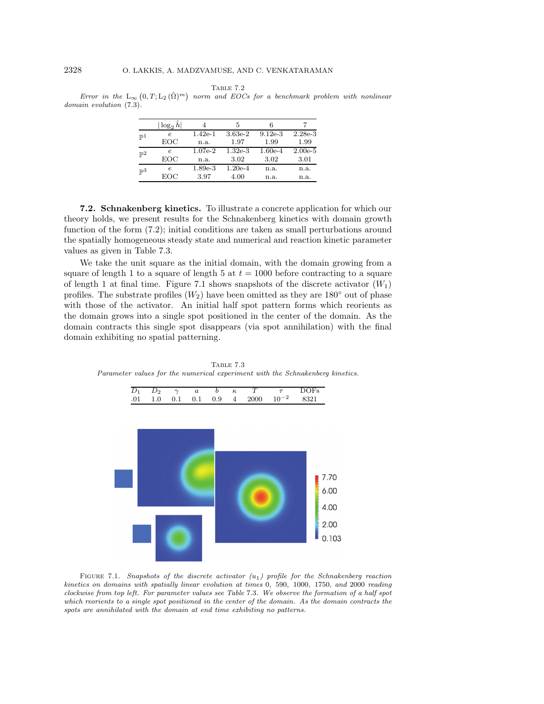Table 7.2

Error in the  $\mathcal{L}_{\infty}(0,T;\mathcal{L}_2(\hat{\Omega})^m)$  norm and EOCs for a benchmark problem with nonlinear domain evolution (7.3).

|                | $\log_2 h$ |           | 5         |           |           |
|----------------|------------|-----------|-----------|-----------|-----------|
| $\mathbb{P}^1$ | e          | $1.42e-1$ | $3.63e-2$ | $9.12e-3$ | $2.28e-3$ |
|                | EOC        | n.a.      | 1.97      | 1.99      | 1.99      |
| $\mathbb{P}^2$ | e          | $1.07e-2$ | $1.32e-3$ | $1.60e-4$ | $2.00e-5$ |
|                | EOC        | n.a.      | 3.02      | 3.02      | 3.01      |
| $\mathbb{P}^3$ | e          | $1.89e-3$ | $1.20e-4$ | n.a.      | n.a.      |
|                | EOC        | 3.97      | 4.00      | n.a.      | n.a.      |

**7.2. Schnakenberg kinetics.** To illustrate a concrete application for which our theory holds, we present results for the Schnakenberg kinetics with domain growth function of the form (7.2); initial conditions are taken as small perturbations around the spatially homogeneous steady state and numerical and reaction kinetic parameter values as given in Table 7.3.

We take the unit square as the initial domain, with the domain growing from a square of length 1 to a square of length 5 at  $t = 1000$  before contracting to a square of length 1 at final time. Figure 7.1 shows snapshots of the discrete activator  $(W_1)$ profiles. The substrate profiles  $(W_2)$  have been omitted as they are 180 $\degree$  out of phase with those of the activator. An initial half spot pattern forms which reorients as the domain grows into a single spot positioned in the center of the domain. As the domain contracts this single spot disappears (via spot annihilation) with the final domain exhibiting no spatial patterning.

TABLE 7.3 Parameter values for the numerical experiment with the Schnakenberg kinetics.

 $D_1$   $D_2$   $\gamma$  a b  $\kappa$  T  $\tau$  DOFs



FIGURE 7.1. Snapshots of the discrete activator  $(u_1)$  profile for the Schnakenberg reaction kinetics on domains with spatially linear evolution at times 0, 590, 1000, 1750, and 2000 reading clockwise from top left. For parameter values see Table 7.3. We observe the formation of a half spot which reorients to a single spot positioned in the center of the domain. As the domain contracts the spots are annihilated with the domain at end time exhibiting no patterns.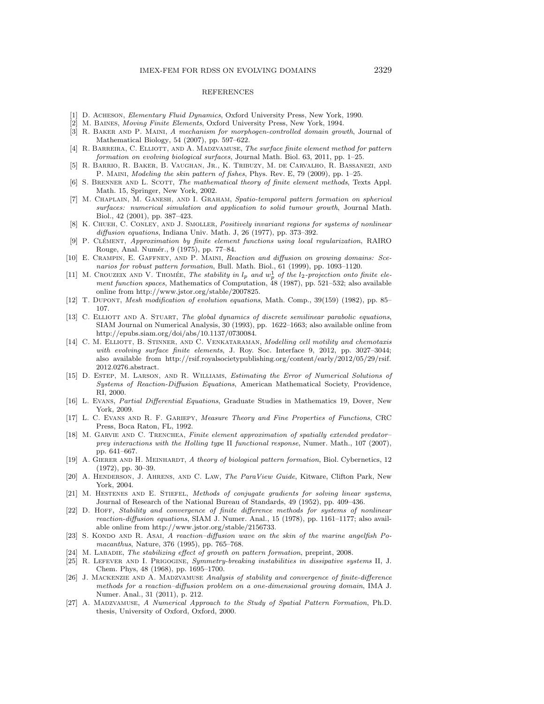#### REFERENCES

- [1] D. ACHESON, *Elementary Fluid Dynamics*, Oxford University Press, New York, 1990.
- [2] M. Baines, Moving Finite Elements, Oxford University Press, New York, 1994.
- [3] R. Baker and P. Maini, A mechanism for morphogen-controlled domain growth, Journal of Mathematical Biology, 54 (2007), pp. 597–622.
- [4] R. BARREIRA, C. ELLIOTT, AND A. MADZVAMUSE, The surface finite element method for pattern formation on evolving biological surfaces, Journal Math. Biol. 63, 2011, pp. 1–25.
- [5] R. Barrio, R. Baker, B. Vaughan, Jr., K. Tribuzy, M. de Carvalho, R. Bassanezi, and P. Maini, Modeling the skin pattern of fishes, Phys. Rev. E, 79 (2009), pp. 1–25.
- [6] S. BRENNER AND L. SCOTT, The mathematical theory of finite element methods, Texts Appl. Math. 15, Springer, New York, 2002.
- [7] M. Chaplain, M. Ganesh, and I. Graham, Spatio-temporal pattern formation on spherical surfaces: numerical simulation and application to solid tumour growth, Journal Math. Biol., 42 (2001), pp. 387–423.
- [8] K. CHUEH, C. CONLEY, AND J. SMOLLER, Positively invariant regions for systems of nonlinear diffusion equations, Indiana Univ. Math. J, 26 (1977), pp. 373–392.
- [9] P. CLÉMENT, Approximation by finite element functions using local regularization, RAIRO Rouge, Anal. Numér., 9 (1975), pp. 77-84.
- [10] E. Crampin, E. Gaffney, and P. Maini, Reaction and diffusion on growing domains: Scenarios for robust pattern formation, Bull. Math. Biol., 61 (1999), pp. 1093–1120.
- [11] M. CROUZEIX AND V. THOMÉE, The stability in  $l_p$  and  $w_p^1$  of the  $l_2$ -projection onto finite element function spaces, Mathematics of Computation, 48 (1987), pp. 521–532; also available online from http://www.jstor.org/stable/2007825.
- [12] T. Dupont, Mesh modification of evolution equations, Math. Comp., 39(159) (1982), pp. 85– 107.
- [13] C. ELLIOTT AND A. STUART, The global dynamics of discrete semilinear parabolic equations, SIAM Journal on Numerical Analysis, 30 (1993), pp. 1622–1663; also available online from http://epubs.siam.org/doi/abs/10.1137/0730084.
- [14] C. M. ELLIOTT, B. STINNER, AND C. VENKATARAMAN, *Modelling cell motility and chemotaxis* with evolving surface finite elements, J. Roy. Soc. Interface 9, 2012, pp. 3027-3044; also available from http://rsif.royalsocietypublishing.org/content/early/2012/05/29/rsif. 2012.0276.abstract.
- [15] D. Estep, M. Larson, and R. Williams, Estimating the Error of Numerical Solutions of Systems of Reaction-Diffusion Equations, American Mathematical Society, Providence, RI, 2000.
- [16] L. Evans, Partial Differential Equations, Graduate Studies in Mathematics 19, Dover, New York, 2009.
- [17] L. C. Evans and R. F. Gariepy, Measure Theory and Fine Properties of Functions, CRC Press, Boca Raton, FL, 1992.
- [18] M. GARVIE AND C. TRENCHEA, Finite element approximation of spatially extended predatorprey interactions with the Holling type II functional response, Numer. Math., 107 (2007), pp. 641–667.
- [19] A. GIERER AND H. MEINHARDT, A theory of biological pattern formation, Biol. Cybernetics, 12 (1972), pp. 30–39.
- [20] A. HENDERSON, J. AHRENS, AND C. LAW, The ParaView Guide, Kitware, Clifton Park, New York, 2004.
- [21] M. HESTENES AND E. STIEFEL, Methods of conjugate gradients for solving linear systems, Journal of Research of the National Bureau of Standards, 49 (1952), pp. 409–436.
- [22] D. HOFF, Stability and convergence of finite difference methods for systems of nonlinear reaction-diffusion equations, SIAM J. Numer. Anal., 15 (1978), pp. 1161–1177; also available online from http://www.jstor.org/stable/2156733.
- [23] S. KONDO AND R. ASAI, A reaction–diffusion wave on the skin of the marine angelfish Pomacanthus, Nature, 376 (1995), pp. 765–768.
- [24] M. LABADIE, The stabilizing effect of growth on pattern formation, preprint, 2008.
- [25] R. LEFEVER AND I. PRIGOGINE, Symmetry-breaking instabilities in dissipative systems II, J. Chem. Phys, 48 (1968), pp. 1695–1700.
- [26] J. MACKENZIE AND A. MADZVAMUSE Analysis of stability and convergence of finite-difference methods for a reaction–diffusion problem on a one-dimensional growing domain, IMA J. Numer. Anal., 31 (2011), p. 212.
- [27] A. Madzvamuse, A Numerical Approach to the Study of Spatial Pattern Formation, Ph.D. thesis, University of Oxford, Oxford, 2000.